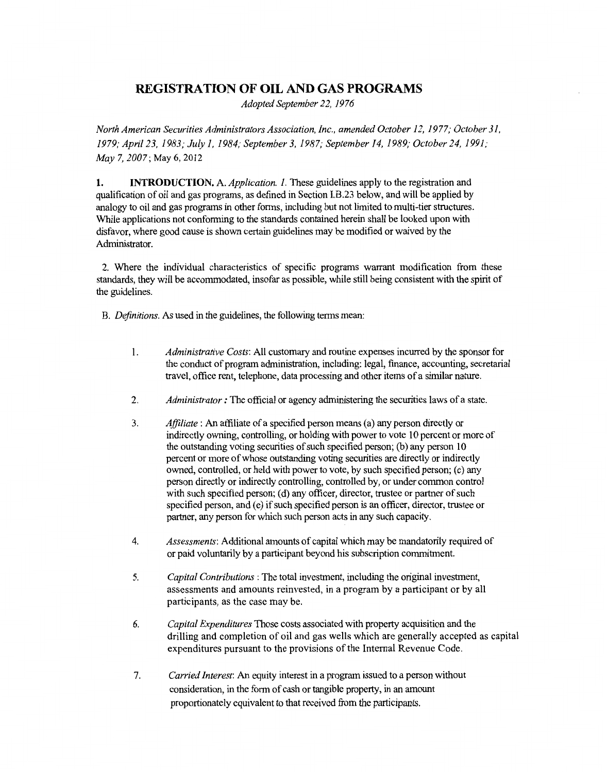## **REGISTRATION OF OIL AND GAS PROGRAMS**

*Adopted September 22, 1976* 

*North American Securities Administrators Association, Inc., amended October 12, 1977; October 31, 1979; April 23, 1983; July 1, 1984; September 3, 1987; September 14, 1989; October 24, 1991; May* 7, *2007;* May 6, 2012

**1. INTRODUCTION.** A. *Application. 1.* These guidelines apply to the registration and qualification of oil and gas programs, as defined in Section I.B.23 below, and will be applied by analogy to oil and gas programs in other forms, including but not limited to multi-tier structures. While applications not conforming to the standards contained herein shall be looked upon with disfavor, where good cause is shown certain guidelines may be modified or waived by the Administrator.

2. Where the individual characteristics of specific programs warrant modification from these standards, they will be accommodated, insofar as possible, while still being consistent with the spirit of the guidelines.

B. *Definitions.* As used in the guidelines, the following terms mean:

- 1. *Administrative Costs:* All customary and routine expenses incurred by the sponsor for the conduct of program administration, including: legal, finance, accounting, secretarial travel, office rent, telephone, data processing and other items of a similar nature.
- 2. *Administrator :* The official or agency administering the securities laws of a state.
- 3. *Affiliate:* An affiliate of a specified person means (a) any person directly or indirectly owning, controlling, or holding with power to vote 10 percent or more of the outstanding voting securities of such specified person; (b) any person 10 percent or more of whose outstanding voting securities are directly or indirectly owned, controlled, or held with power to vote, by such specified person; (c) any person directly or indirectly controlling, controlled by, or under common control with such specified person; (d) any officer, director, trustee or partner of such specified person, and (e) if such specified person is an officer, director, trustee or partner, any person for which such person acts in any such capacity.
- 4. *Assessments:* Additional amounts of capital which may be mandatorily required of or paid voluntarily by a participant beyond his subscription commitment.
- 5. *Capital Contributions* : The total investment, including the original investment, assessments and amounts reinvested, in a program by a participant or by all participants, as the case may be.
- 6. *Capital Expenditures* Those costs associated with property acquisition and the drilling and completion of oil and gas wells which are generally accepted as capital expenditures pursuant to the provisions of the Internal Revenue Code.
- 7. *Carried Interest:* An equity interest in a program issued to a person without consideration, in the form of cash or tangible property, in an amount proportionately equivalent to that received from the participants.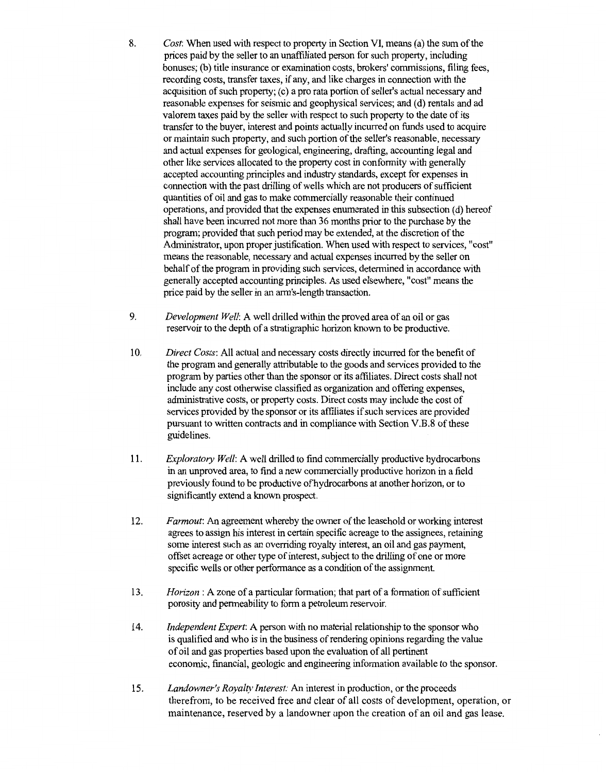- 8. *Cost:* When used with respect to property in Section VI, means (a) the sum of the prices paid by the seller to an unaffiliated person for such property, including bonuses; (b) title insurance or examination costs, brokers' commissions, filing fees, recording costs, transfer taxes, if any, and like charges in connection with the acquisition of such property; ( c) a pro rata portion of seller's actual necessary and reasonable expenses for seismic and geophysical services; and (d) rentals and ad valorem taxes paid by the seller with respect to such property to the date of its transfer to the buyer, interest and points actually incurred on funds used to acquire or maintain such property, and such portion of the seller's reasonable, necessary and actual expenses for geological, engineering, drafting, accounting legal and other like services allocated to the property cost in conformity with generally accepted accounting principles and industry standards, except for expenses in connection with the past drilling of wells which are not producers of sufficient quantities of oil and gas to make commercially reasonable their continued operations, and provided that the expenses enumerated in this subsection ( d) hereof shall have been incurred not more than 36 months prior to the purchase by the program; provided that such period may be extended, at the discretion of the Administrator, upon proper justification. When used with respect to services, "cost" means the reasonable, necessary and actual expenses incurred by the seller on behalf of the program in providing such services, determined in accordance with generally accepted accounting principles. As used elsewhere, "cost" means the price paid by the seller in an arm's-length transaction.
- 9. *Development Well:* A well drilled within the proved area of an oil or gas reservoir to the depth of a stratigraphic horizon known to be productive.
- 10. *Direct Costs:* All actual and necessary costs directly incurred for the benefit of the program and generally attributable to the goods and services provided to the program by parties other than the sponsor or its affiliates. Direct costs shall not include any cost otherwise classified as organization and offering expenses, administrative costs, or property costs. Direct costs may include the cost of services provided by the sponsor or its affiliates if such services are provided pursuant to written contracts and in compliance with Section V.B.8 of these guidelines.
- 11. *Exploratory Well:* A well drilled to find commercially productive hydrocarbons in an unproved area, to find a new commercially productive horizon in a field previously found to be productive of hydrocarbons at another horizon, or to significantly extend a known prospect.
- 12. *Farmout:* An agreement whereby the owner of the leasehold or working interest agrees to assign his interest in certain specific acreage to the assignees, retaining some interest such as an overriding royalty interest, an oil and gas payment, offset acreage or other type of interest, subject to the drilling of one or more specific wells or other performance as a condition of the assignment.
- 13. *Horizon:* A zone of a particular formation; that part of a formation of sufficient porosity and permeability to form a petroleum reservoir.
- 14. *Independent Expert:* A person with no material relationship to the sponsor who is qualified and who is in the business of rendering opinions regarding the value of oil and gas properties based upon the evaluation of all pertinent economic, financial, geologic and engineering information available to the sponsor.
- 15. *Landowner's Royalty Interest:* An interest in production, or the proceeds therefrom, to be received free and clear of all costs of development, operation, or maintenance, reserved by a landowner upon the creation of an oil and gas lease.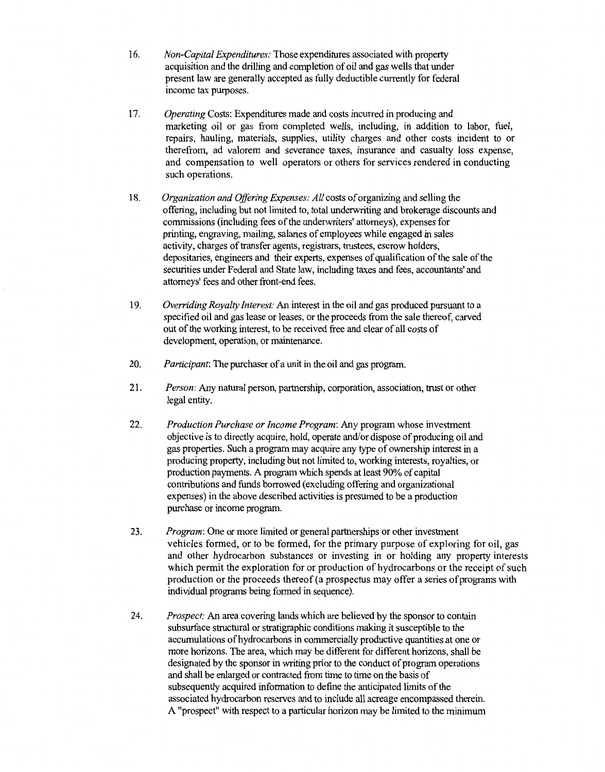- 16. *Non-Capital Expenditures:* Those expenditures associated with property acquisition and the drilling and completion of oil and gas wells that under present law are generally accepted as fully deductible currently for federal income tax purposes.
- 17. *Operating* Costs: Expenditures made and costs incurred in producing and marketing oil or gas from completed wells, including, in addition to labor, fuel, repairs, hauling, materials, supplies, utility charges and other costs incident to or therefrom, ad valorem and severance taxes, insurance and casualty loss expense, and compensation to well operators or others for services rendered in conducting such operations.
- 18. *Organization and Offering Expenses: All* costs of organizing and selling the offering, including but not limited to, total underwriting and brokerage discounts and commissions (including fees of the underwriters' attorneys), expenses for printing, engraving, mailing, salaries of employees while engaged in sales activity, charges of transfer agents, registrars, trustees, escrow holders, depositaries, engineers and their experts, expenses of qualification of the sale of the securities under Federal and State law, including taxes and fees, accountants' and attorneys' fees and other front-end fees.
- 19. *Overriding Royalty Interest:* An interest in the oil and gas produced pursuant to a specified oil and gas lease or leases, or the proceeds from the sale thereof, carved out of the working interest, to be received free and clear of all costs of development, operation, or maintenance.
- 20. *Participant:* The purchaser of a unit in the oil and gas program
- 21. *Person:* Any natural person, partnership, corporation, association, trust or other legal entity.
- 22. *Production Purchase or Income Program:* Any program whose investment objective is to directly acquire, hold, operate and/or dispose of producing oil and gas properties. Such a program may acquire any type of ownership interest in a producing property, including but not limited to, working interests, royalties, or production payments. A program which spends at least 90% of capital contributions and funds borrowed (excluding offering and organizational expenses) in the above described activities is presumed to be a production purchase or income program.
- 23. *Program:* One or more limited or general partnerships or other investment vehicles formed, or to be formed, for the primary purpose of exploring for oil, gas and other hydrocarbon substances or investing in or holding any property interests which permit the exploration for or production of hydrocarbons or the receipt of such production or the proceeds thereof (a prospectus may offer a series of programs with individual programs being formed in sequence).
- 24. *Prospect:* An area covering lands which are believed by the sponsor to contain subsurface structural or stratigraphic conditions making it susceptible to the accumulations of hydrocarbons in commercially productive quantities at one or more horizons. The area, which may be different for different horizons, shall be designated by the sponsor in writing prior to the conduct of program operations and shall be enlarged or contracted from time to time on the basis of subsequently acquired information to define the anticipated limits of the associated hydrocarbon reserves and to include all acreage encompassed therein. A "prospect" with respect to a particular horizon may be limited to the minimum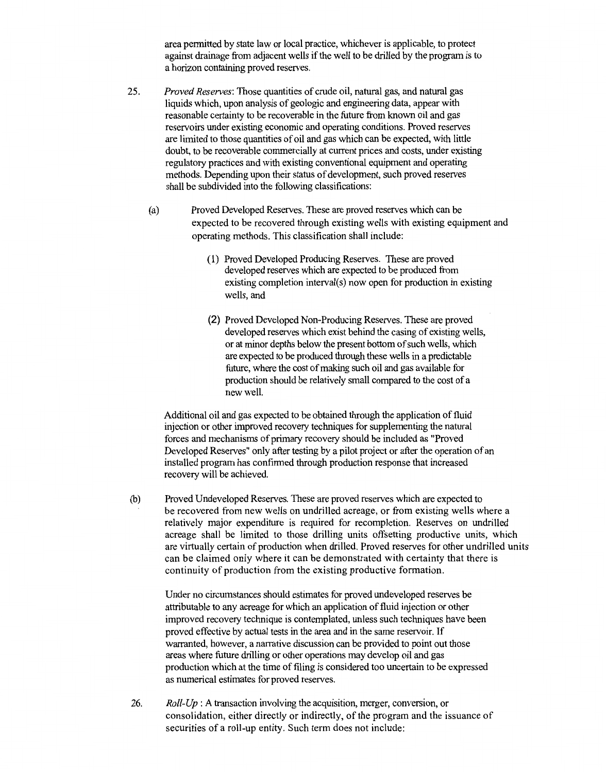area permitted by state law or local practice, whichever is applicable, to protect against drainage from adjacent wells if the well to be drilled by the program is to a horizon containing proved reserves.

- 25. *Proved Reserves:* Those quantities of crude oil, natural gas, and natural gas liquids which, upon analysis of geologic and engineering data, appear with reasonable certainty to be recoverable in the future from known oil and gas reservoirs under existing economic and operating conditions. Proved reserves are limited to those quantities of oil and gas which can be expected, with little doubt, to be recoverable commercially at current prices and costs, under existing regulatory practices and with existing conventional equipment and operating methods. Depending upon their status of development, such proved reserves shall be subdivided into the following classifications:
	- (a) Proved Developed Reserves. These are proved reserves which can be expected to be recovered through existing wells with existing equipment and operating methods. This classification shall include:
		- ( 1) Proved Developed Producing Reserves. These are proved developed reserves which are expected to be produced from existing completion interval(s) now open for production in existing wells, and
		- (2) Proved Developed Non-Producing Reserves. These are proved developed reserves which exist behind the casing of existing wells, or at minor depths below the present bottom of such wells, which are expected to be produced through these wells in a predictable future, where the cost of making such oil and gas available for production should be relatively small compared to the cost of a new well.

Additional oil and gas expected to be obtained through the application of fluid injection or other improved recovery techniques for supplementing the natural forces and mechanisms of primary recovery should be included as "Proved Developed Reserves" only after testing by a pilot project or after the operation of an installed program has confirmed through production response that increased recovery will be achieved.

(b) Proved Undeveloped Reserves. These are proved reserves which are expected to be recovered from new wells on undrilled acreage, or from existing wells where a relatively major expenditure is required for recompletion. Reserves on undrilled acreage shall be limited to those drilling units offsetting productive units, which are virtually certain of production when drilled. Proved reserves for other undrilled units can be claimed only where it can be demonstrated with certainty that there is continuity of production from the existing productive formation.

Under no circumstances should estimates for proved undeveloped reserves be attributable to any acreage for which an application of fluid injection or other improved recovery technique is contemplated, unless such techniques have been proved effective by actual tests in the area and in the same reservoir. If warranted, however, a narrative discussion can be provided to point out those areas where future drilling or other operations may develop oil and gas production which at the time of filing is considered too uncertain to be expressed as numerical estimates for proved reserves.

26. *Roll-Up* : A transaction involving the acquisition, merger, conversion, or consolidation, either directly or indirectly, of the program and the issuance of securities of a roll-up entity. Such term does not include: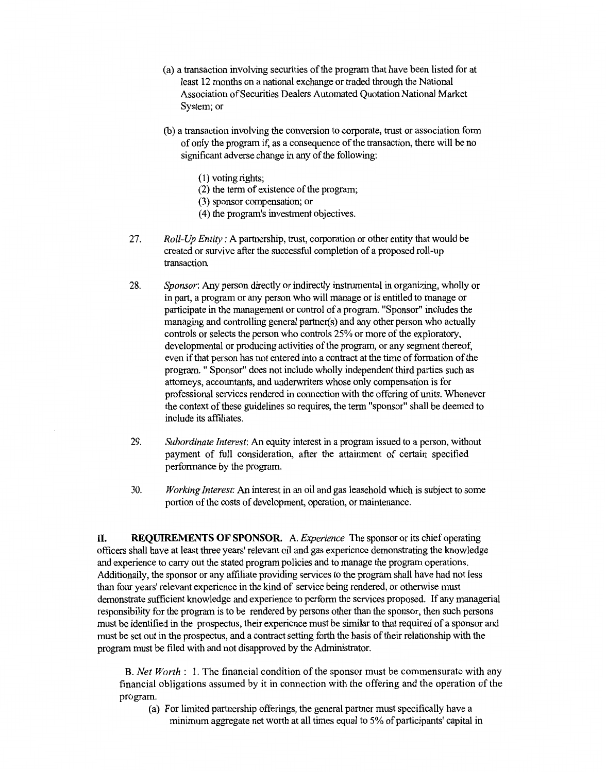- (a) a transaction involving securities of the program that have been listed for at least 12 months on a national exchange or traded through the National Association of Securities Dealers Automated Quotation National Market System; or
- (b) a transaction involving the conversion to corporate, trust or association form of only the program if, as a consequence of the transaction, there will be no significant adverse change in any of the following:
	- (1) voting rights;
	- (2) the term of existence of the program;
	- (3) sponsor compensation; or
	- (4) the program's investment objectives.
- 27. *Roll-Up Entity:* A partnership, trust, corporation or other entity that would be created or survive after the successful completion of a proposed roll-up transaction.
- 28. *Sponsor:* Any person directly or indirectly instrumental in organizing, wholly or in part, a program or any person who will manage or is entitled to manage or participate in the management or control of a program. "Sponsor" includes the managing and controlling general partner(s) and any other person who actually controls or selects the person who controls 25% or more of the exploratory, developmental or producing activities of the program, or any segment thereof, even if that person has not entered into a contract at the time of formation of the program. " Sponsor" does not include wholly independent third parties such as attorneys, accountants, and underwriters whose only compensation is for professional services rendered in connection with the offering of units. Whenever the context of these guidelines so requires, the term "sponsor" shall be deemed to include its affiliates.
- 29. *Subordinate Interest:* An equity interest in a program issued to a person, without payment of full consideration, after the attainment of certain specified performance by the program.
- 30. *Working Interest:* An interest in an oil and gas leasehold which is subject to some portion of the costs of development, operation, or maintenance.

**II. REQUIREMENTS OF SPONSOR.** A *Experience* The sponsor or its chief operating officers shall have at least three years' relevant oil and gas experience demonstrating the knowledge and experience to carry out the stated program policies and to manage the program operations. Additionally, the sponsor or any affiliate providing services to the program shall have had not less than four years' relevant experience in the kind of service being rendered, or otherwise must demonstrate sufficient knowledge and experience to perform the services proposed. If any managerial responsibility for the program is to be rendered by persons other than the sponsor, then such persons must be identified in the prospectus, their experience must be similar to that required of a sponsor and must be set out in the prospectus, and a contract setting forth the basis of their relationship with the program must be filed with and not disapproved by the Administrator.

B. *Net Worth:* 1. The financial condition of the sponsor must be commensurate with any financial obligations assumed by it in connection with the offering and the operation of the program.

(a) For limited partnership offerings, the general partner must specifically have a minimum aggregate net worth at all times equal to 5% of participants' capital in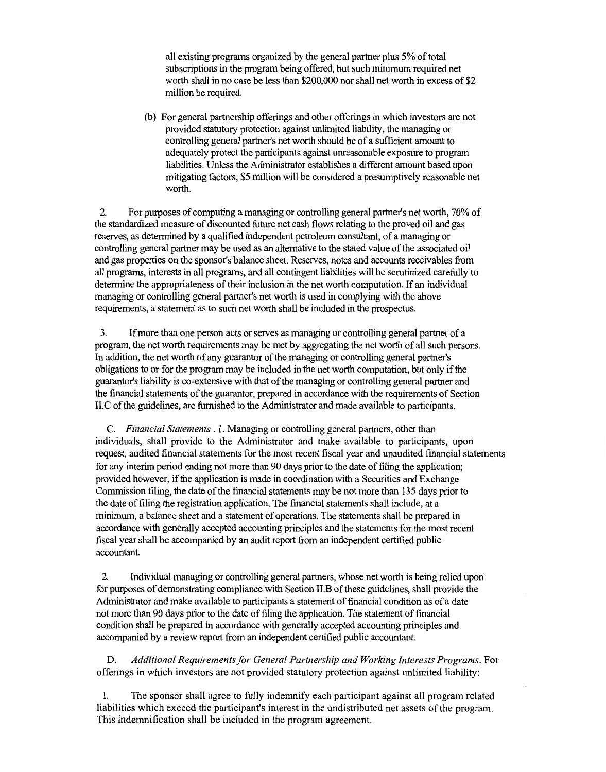all existing programs organized by the general partner plus 5% of total subscriptions in the program being offered, but such minimum required net worth shall in no case be less than \$200,000 nor shall net worth in excess of \$2 million be required.

(b) For general partnership offerings and other offerings in which investors are not provided statutory protection against unlimited liability, the managing or controlling general partner's net worth should be of a sufficient amount to adequately protect the participants against unreasonable exposure to program liabilities. Unless the Administrator establishes a different amount based upon mitigating factors, \$5 million will be considered a presumptively reasonable net worth.

2. For purposes of computing a managing or controlling general partner's net worth, 70% of the standardized measure of discounted future net cash flows relating to the proved oil and gas reserves, as determined by a qualified independent petroleum consultant, of a managing or controlling general partner may be used as an alternative to the stated value of the associated oil and gas properties on the sponsor's balance sheet. Reserves, notes and accounts receivables from all programs, interests in all programs, and all contingent liabilities will be scrutinized carefully to determine the appropriateness of their inclusion in the net worth computation. If an individual managing or controlling general partner's net worth is used in complying with the above requirements, a statement as to such net worth shall be included in the prospectus.

3. If more than one person acts or serves as managing or controlling general partner of a program, the net worth requirements may be met by aggregating the net worth of all such persons. In addition, the net worth of any guarantor of the managing or controlling general partner's obligations to or for the program may be included in the net worth computation, but only ifthe guarantor's liability is co-extensive with that of the managing or controlling general partner and the financial statements of the guarantor, prepared in accordance with the requirements of Section 11.C of the guidelines, are furnished to the Administrator and made available to participants.

C. *Financial Statements* . 1. Managing or controlling general partners, other than individuals, shall provide to the Administrator and make available to participants, upon request, audited financial statements for the most recent fiscal year and unaudited financial statements for any interim period ending not more than 90 days prior to the date of filing the application; provided however, ifthe application is made in coordination with a Securities and Exchange Commission filing, the date of the financial statements may be not more than 135 days prior to the date of filing the registration application. The financial statements shall include, at a minimum, a balance sheet and a statement of operations. The statements shall be prepared in accordance with generally accepted accounting principles and the statements for the most recent fiscal year shall be accompanied by an audit report from an independent certified public accountant.

2. Individual managing or controlling general partners, whose net worth is being relied upon for purposes of demonstrating compliance with Section 11.B of these guidelines, shall provide the Administrator and make available to participants a statement of financial condition as of a date not more than 90 days prior to the date of filing the application. The statement of financial condition shall be prepared in accordance with generally accepted accounting principles and accompanied by a review report from an independent certified public accountant.

D. *Additional Requirements for General Partnership and Working Interests Programs.* For offerings in which investors are not provided statutory protection against unlimited liability:

1. The sponsor shall agree to fully indemnify each participant against all program related liabilities which exceed the participant's interest in the undistributed net assets of the program. This indemnification shall be included in the program agreement.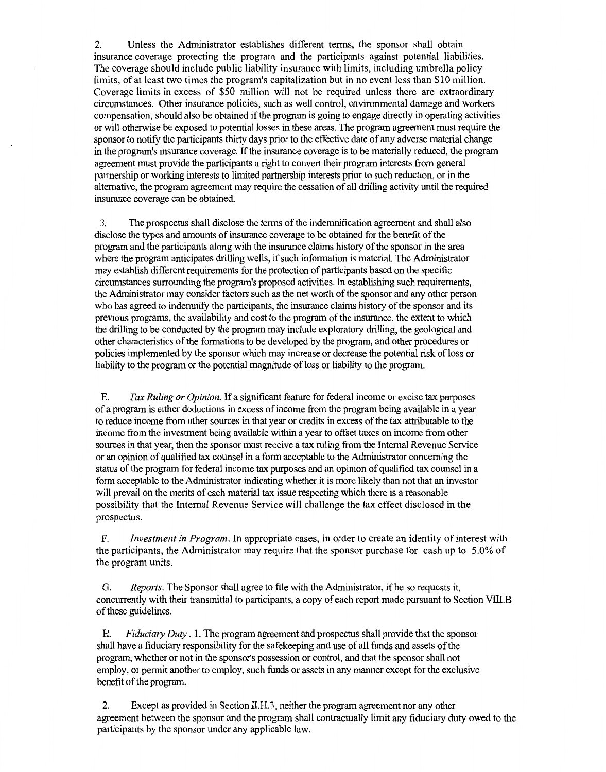2. Unless the Administrator establishes different terms, the sponsor shall obtain insurance coverage protecting the program and the participants against potential liabilities. The coverage should include public liability insurance with limits, including umbrella policy limits, of at least two times the program's capitalization but in no event less than \$10 million. Coverage limits in excess of \$50 million will not be required unless there are extraordinary circumstances. Other insurance policies, such as well control, environmental damage and workers compensation, should also be obtained if the program is going to engage directly in operating activities or will otherwise be exposed to potential losses in these areas. The program agreement must require the sponsor to notify the participants thirty days prior to the effective date of any adverse material change in the program's insurance coverage. If the insurance coverage is to be materially reduced, the program agreement must provide the participants a right to convert their program interests from general partnership or working interests to limited partnership interests prior to such reduction, or in the alternative, the program agreement may require the cessation of all drilling activity until the required insurance coverage can be obtained.

3. The prospectus shall disclose the terms of the indemnification agreement and shall also disclose the types and amounts of insurance coverage to be obtained for the benefit of the program and the participants along with the insurance claims history of the sponsor in the area where the program anticipates drilling wells, if such information is material. The Administrator may establish different requirements for the protection of participants based on the specific circumstances surrounding the program's proposed activities. In establishing such requirements, the Administrator may consider factors such as the net worth of the sponsor and any other person who has agreed to indemnify the participants, the insurance claims history of the sponsor and its previous programs, the availability and cost to the program of the insurance, the extent to which the drilling to be conducted by the program may include exploratory drilling, the geological and other characteristics of the formations to be developed by the program, and other procedures or policies implemented by the sponsor which may increase or decrease the potential risk ofloss or liability to the program or the potential magnitude of loss or liability to the program.

E. *Tax Ruling or Opinion.* If a significant feature for federal income or excise tax purposes of a program is either deductions in excess of income from the program being available in a year to reduce income from other sources in that year or credits in excess of the tax attributable to the income from the investment being available within a year to offset taxes on income from other sources in that year, then the sponsor must receive a tax ruling from the Internal Revenue Service or an opinion of qualified tax counsel in a form acceptable to the Administrator concerning the status of the program for federal income tax purposes and an opinion of qualified tax counsel in a form acceptable to the Administrator indicating whether it is more likely than not that an investor will prevail on the merits of each material tax issue respecting which there is a reasonable possibility that the Internal Revenue Service will challenge the tax effect disclosed in the prospectus.

F. *Investment in Program.* In appropriate cases, in order to create an identity of interest with the participants, the Administrator may require that the sponsor purchase for cash up to 5.0% of the program units.

G. *Reports.* The Sponsor shall agree to file with the Administrator, ifhe so requests it, concurrently with their transmittal to participants, a copy of each report made pursuant to Section VIII.B of these guidelines.

H. *Fiduciary Duty* . 1. The program agreement and prospectus shall provide that the sponsor shall have a fiduciary responsibility for the safekeeping and use of all funds and assets of the program, whether or not in the sponsor's possession or control, and that the sponsor shall not employ, or permit another to employ, such funds or assets in any manner except for the exclusive benefit of the program.

2. Except as provided in Section 11.H.3, neither the program agreement nor any other agreement between the sponsor and the program shall contractually limit any fiduciary duty owed to the participants by the sponsor under any applicable law.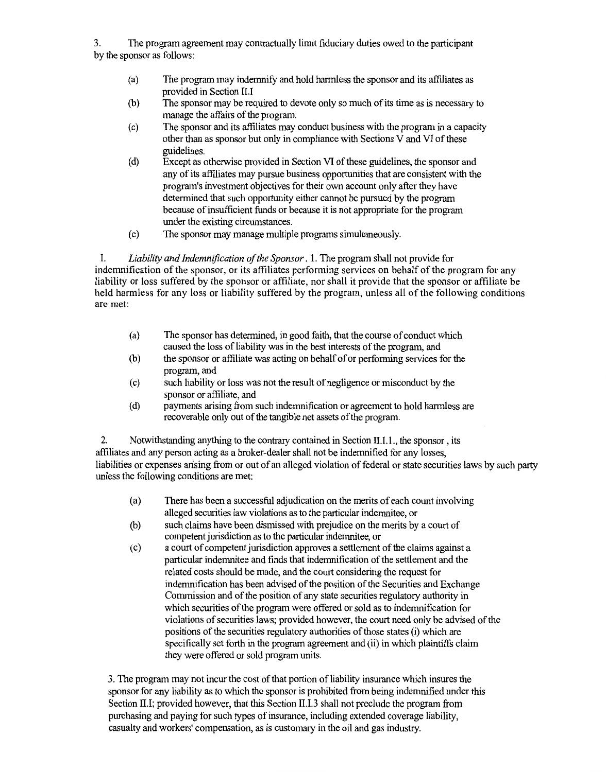3. The program agreement may contractually limit fiduciary duties owed to the participant by the sponsor as follows:

- (a) The program may indemnify and hold harmless the sponsor and its affiliates as provided in Section II.I
- (b) The sponsor may be required to devote only so much of its time as is necessary to manage the affairs of the program.
- ( c) The sponsor and its affiliates may conduct business with the program in a capacity other than as sponsor but only in compliance with Sections V and VI of these guidelines.
- (d) Except as otherwise provided in Section VI of these guidelines, the sponsor and any of its affiliates may pursue business opportunities that are consistent with the program's investment objectives for their own account only after they have determined that such opportunity either cannot be pursued by the program because of insufficient funds or because it is not appropriate for the program under the existing circumstances.
- ( e) The sponsor may manage multiple programs simultaneously.

I. *Liability and Indemnification of the Sponsor* . 1. The program shall not provide for indemnification of the sponsor, or its affiliates performing services on behalf of the program for any liability or loss suffered by the sponsor or affiliate, nor shall it provide that the sponsor or affiliate be held harmless for any loss or liability suffered by the program, unless all of the following conditions are met:

- (a) The sponsor has determined, in good faith, that the course of conduct which caused the loss of liability was in the best interests of the program, and
- (b) the sponsor or affiliate was acting on behalf of or performing services for the program, and
- (c) such liability or loss was not the result of negligence or misconduct by the sponsor or affiliate, and
- (d) payments arising from such indemnification or agreement to hold harmless are recoverable only out of the tangible net assets of the program.

2. Notwithstanding anything to the contrary contained in Section 11.1.1., the sponsor, its affiliates and any person acting as a broker-dealer shall not be indemnified for any losses, liabilities or expenses arising from or out of an alleged violation of federal or state securities laws by such party unless the following conditions are met:

- (a) There has been a successful adjudication on the merits of each count involving alleged securities law violations as to the particular indemnitee, or
- (b) such claims have been dismissed with prejudice on the merits by a court of competent jurisdiction as to the particular indemnitee, or
- ( c) a court of competent jurisdiction approves a settlement of the claims against a particular indemnitee and finds that indemnification of the settlement and the related costs should be made, and the court considering the request for indenmification has been advised of the position of the Securities and Exchange Commission and of the position of any state securities regulatory authority in which securities of the program were offered or sold as to indemnification for violations of securities laws; provided however, the court need only be advised of the positions of the securities regulatory authorities of those states (i) which are specifically set forth in the program agreement and (ii) in which plaintiffs claim they were offered or sold program units.

3. The program may not incur the cost of that portion of liability insurance which insures the sponsor for any liability as to which the sponsor is prohibited from being indemnified under this Section II.I; provided however, that this Section II.I.3 shall not preclude the program from purchasing and paying for such types of insurance, including extended coverage liability, casualty and workers' compensation, as is customary in the oil and gas industry.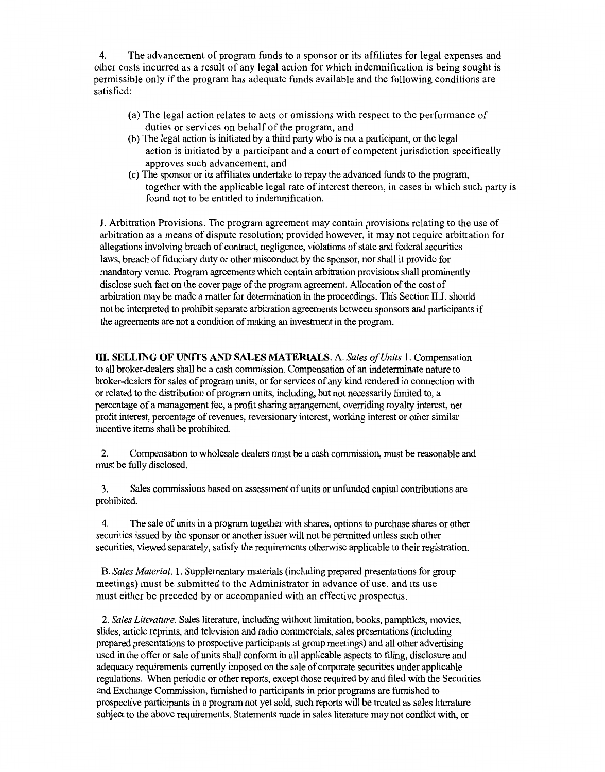4. The advancement of program funds to a sponsor or its affiliates for legal expenses and other costs incurred as a result of any legal action for which indemnification is being sought is permissible only if the program has adequate funds available and the following conditions are satisfied:

- (a) The legal action relates to acts or omissions with respect to the performance of duties or services on behalf of the program, and
- (b) The legal action is initiated by a third party who is not a participant, or the legal action is initiated by a participant and a court of competent jurisdiction specifically approves such advancement, and
- ( c) The sponsor or its affiliates undertake to repay the advanced funds to the program, together with the applicable legal rate of interest thereon, in cases in which such party is found not to be entitled to indemnification.

J. Arbitration Provisions. The program agreement may contain provisions relating to the use of arbitration as a means of dispute resolution; provided however, it may not require arbitration for allegations involving breach of contract, negligence, violations of state and federal securities laws, breach of fiduciary duty or other misconduct by the sponsor, nor shall it provide for mandatory venue. Program agreements which contain arbitration provisions shall prominently disclose such fact on the cover page of the program agreement. Allocation of the cost of arbitration may be made a matter for determination in the proceedings. This Section II.J. should not be interpreted to prohibit separate arbitration agreements between sponsors and participants if the agreements are not a condition of making an investment in the program.

**III. SELLING OF UNITS AND SALES MATERIALS.** A. *Sales of Units* 1. Compensation to all broker-dealers shall be a cash commission. Compensation of an indeterminate nature to broker-dealers for sales of program units, or for services of any kind rendered in connection with or related to the distribution of program units, including, but not necessarily limited to, a percentage of a management fee, a profit sharing arrangement, overriding royalty interest, net profit interest, percentage of revenues, reversionary interest, working interest or other similar incentive items shall be prohibited.

2. Compensation to wholesale dealers must be a cash commission, must be reasonable and must be fully disclosed.

3. Sales commissions based on assessment of units or unfunded capital contributions are prohibited.

4. The sale of units in a program together with shares, options to purchase shares or other securities issued by the sponsor or another issuer will not be permitted unless such other securities, viewed separately, satisfy the requirements otherwise applicable to their registration.

B. *Sales Material.* l. Supplementary materials (including prepared presentations for group meetings) must be submitted to the Administrator in advance of use, and its use must either be preceded by or accompanied with an effective prospectus.

2. *Sales Literature.* Sales literature, including without limitation, books, pamphlets, movies, slides, article reprints, and television and radio commercials, sales presentations (including prepared presentations to prospective participants at group meetings) and all other advertising used in the offer or sale of units shall conform in all applicable aspects to filing, disclosure and adequacy requirements currently imposed on the sale of corporate securities under applicable regulations. When periodic or other reports, except those required by and filed with the Securities and Exchange Commission, furnished to participants in prior programs are furnished to prospective participants in a program not yet sold, such reports will be treated as sales literature subject to the above requirements. Statements made in sales literature may not conflict with, or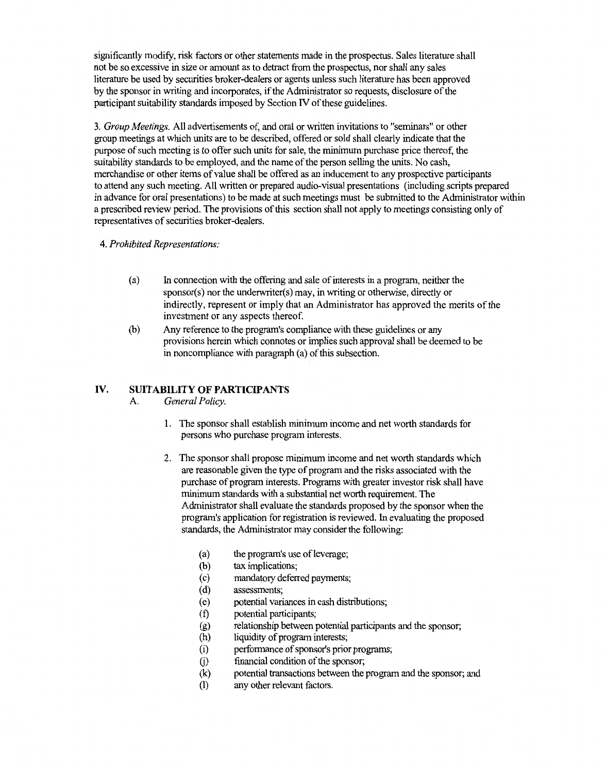significantly modify, risk factors or other statements made in the prospectus. Sales literature shall not be so excessive in size or amount as to detract from the prospectus, nor shall any sales literature be used by securities broker-dealers or agents unless such literature has been approved by the sponsor in writing and incorporates, ifthe Administrator so requests, disclosure of the participant suitability standards imposed by Section IV of these guidelines.

3. *Group Meetings.* All advertisements of, and oral or written invitations to "seminars" or other group meetings at which units are to be described, offered or sold shall clearly indicate that the purpose of such meeting is to offer such units for sale, the minimum purchase price thereof, the suitability standards to be employed, and the name of the person selling the units. No cash, merchandise or other items of value shall be offered as an inducement to any prospective participants to attend any such meeting. All written or prepared audio-visual presentations (including scripts prepared in advance for oral presentations) to be made at such meetings must be submitted to the Administrator within a prescribed review period. The provisions of this section shall not apply to meetings consisting only of representatives of securities broker-dealers.

#### 4. *Prohibited Representations:*

- (a) In connection with the offering and sale of interests in a program, neither the sponsor(s) nor the underwriter(s) may, in writing or otherwise, directly or indirectly, represent or imply that an Administrator has approved the merits of the investment or any aspects thereof.
- (b) Any reference to the program's compliance with these guidelines or any provisions herein which connotes or implies such approval shall be deemed to be in noncompliance with paragraph (a) of this subsection.

### **IV. SUITABILITY OF PARTICIPANTS**

- A. *General Policy.* 
	- 1. The sponsor shall establish minimum income and net worth standards for persons who purchase program interests.
	- 2. The sponsor shall propose minimum income and net worth standards which are reasonable given the type of program and the risks associated with the purchase of program interests. Programs with greater investor risk shall have minimum standards with a substantial net worth requirement. The Administrator shall evaluate the standards proposed by the sponsor when the program's application for registration is reviewed. In evaluating the proposed standards, the Administrator may consider the following:
		- (a) the program's use ofleverage;
		- (b) tax implications;
		- ( c) mandatory deferred payments;
		- ( d) assessments;
		- ( e) potential variances in cash distributions;
		- (f) potential participants;
		- (g) relationship between potential participants and the sponsor;<br>(h) liquidity of program interests;
		- liquidity of program interests;
		- (i) performance of sponsor's prior programs;
		- G) financial condition of the sponsor;
		- (k) potential transactions between the program and the sponsor; and
		- (1) any other relevant factors.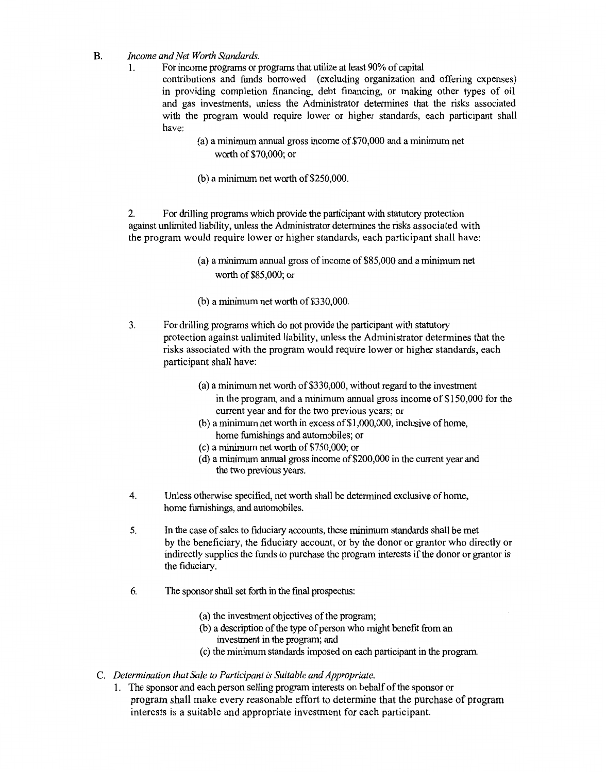- B. *Income and Net Worth Standards.* 
	- 1. For income programs or programs that utilize at least 90% of capital

contributions and funds borrowed (excluding organization and offering expenses) in providing completion financing, debt financing, or making other types of oil and gas investments, unless the Administrator determines that the risks associated with the program would require lower or higher standards, each participant shall have:

- (a) a minimum annual gross income of\$70,000 and a minimum net worth of\$70,000; or
- (b) a minimum net worth of\$250,000.

2. For drilling programs which provide the participant with statutory protection against unlimited liability, unless the Administrator determines the risks associated with the program would require lower or higher standards, each participant shall have:

- (a) a minimum annual gross of income of \$85,000 and a minimum net worth of\$85,000; or
- $(b)$  a minimum net worth of \$330,000.
- 3. For drllling programs which do not provide the participant with statutory protection against unlimited liability, unless the Administrator determines that the risks associated with the program would require lower or higher standards, each participant shall have:
	- (a) a minimum net worth of  $$330,000$ , without regard to the investment in the program, and a minimum annual gross income of  $$150,000$  for the current year and for the two previous years; or
	- (b) a minimum net worth in excess of  $$1,000,000$ , inclusive of home, home furnishings and automobiles; or
	- (c) a minimum net worth of\$750,000; or
	- (d) a minimum annual gross income of \$200,000 in the current year and the two previous years.
- 4. Unless otherwise specified, net worth shall be determined exclusive of home, home furnishings, and automobiles.
- 5. In the case of sales to fiduciary accounts, these minimum standards shall be met by the beneficiary, the fiduciary account, or by the donor or grantor who directly or indirectly supplies the funds to purchase the program interests if the donor or grantor is the fiduciary.
- 6. The sponsor shall set forth in the final prospectus:
	- (a) the investment objectives of the program;
	- (b) a description of the type of person who might benefit ftom an investment in the program; and
	- ( c) the minimum standards imposed on each participant in the program.
- C. *Determination that Sale to Participant* is *Suitable and Appropriate.* 
	- 1. The sponsor and each person selling program interests on behalf of the sponsor or program shall make every reasonable effort to determine that the purchase of program interests is a suitable and appropriate investment for each participant.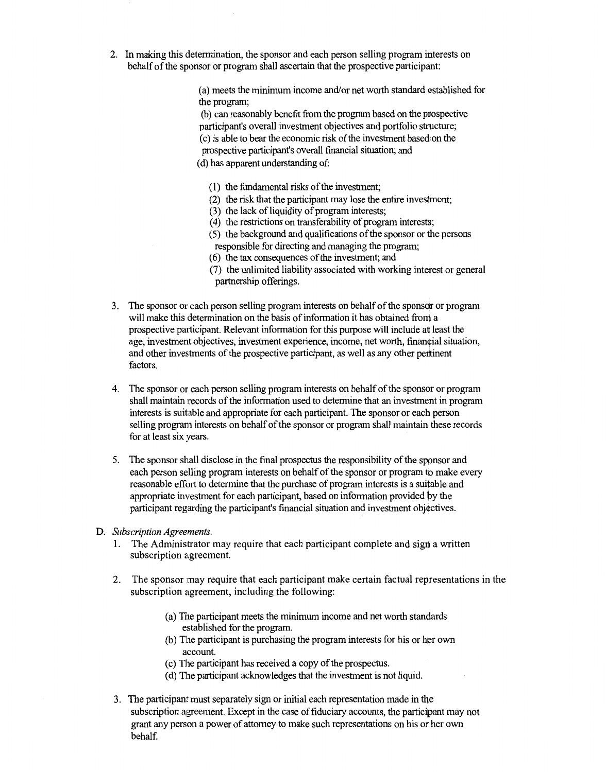2. In making this determination, the sponsor and each person selling program interests on behalf of the sponsor or program shall ascertain that the prospective participant:

> (a) meets the minimum income and/or net worth standard established for the program;

(b) can reasonably benefit from the program based on the pnospective participant's overall investment objectives and portfolio structure; ( c) is able to bear the economic risk of the investment based on the prospective participant's overall financial situation; and (d) has apparent understanding of:

- 
- (1) the fundamental risks of the investment;
- (2) the risk that the participant may lose the entire investment;
- (3) the lack of liquidity of program interests;
- (4) the restrictions on transferability of program interests;
- (5) the background and qualifications of the sponsor or the persons responsible for directing and managing the program;
- ( 6) the tax consequences of the investment; and
- (7) the unlimited liability associated with working interest or general partnership offerings.
- 3. The sponsor or each person selling program interests on behalf of the sponsdr or program will make this determination on the basis of information it has obtained front a prospective participant. Relevant information for this purpose will include at least the age, investment objectives, investment experience, income, net worth, financial situation, and other investments of the prospective participant, as well as any other pertinent factors.
- 4. The sponsor or each person selling program interests on behalf of the sponsor or program shall maintain records of the information used to determine that an investment in program interests is suitable and appropriate for each participant. The sponsor or each person selling program interests on behalf of the sponsor or program shall maintain·these records for at least six years.
- 5. The sponsor shall disclose in the final prospectus the responsibility of the sppnsor and each person selling program interests on behalf of the sponsor or program to make every reasonable effort to determine that the purchase of program interests is a suitable and appropriate investment for each participant, based on information provided by the participant regarding the participant's financial situation and investment objectives.
- D. *Subscription Agreements.* 
	- 1. The Administrator may require that each participant complete and sign a written subscription agreement.
	- 2. The sponsor may require that each participant make certain factual representations in the subscription agreement, including the following:
		- (a) The participant meets the minimum income and net worth standards established for the program.
		- (b) The participant is purchasing the program interests for his or her own account.
		- (c) 111e participant has received a copy of the prospectus.
		- (d) The participant acknowledges that the investment is not liquid.
	- 3. The participant must separately sign or initial each representation made in tbe subscription agreement. Except in the case of fiduciary accounts, the participant may not grant any person a power of attorney to make such representations on his or her own behalf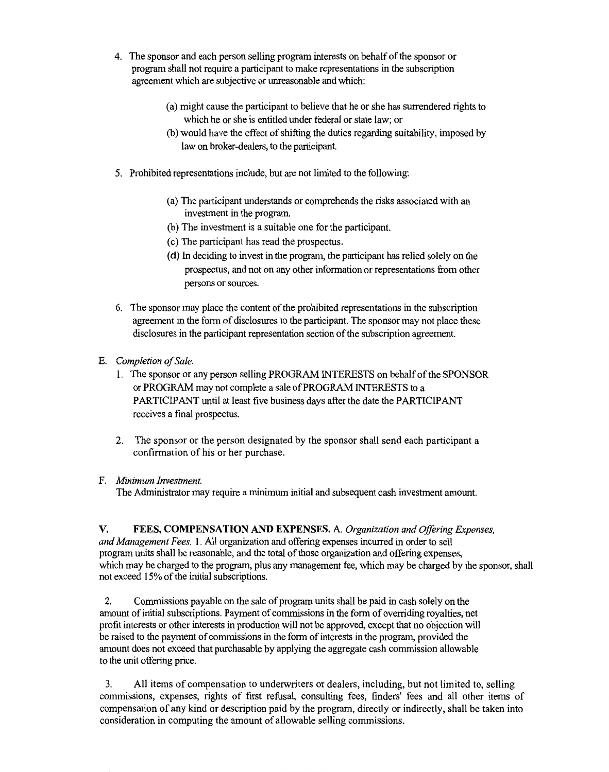- 4. The sponsor and each person selling program interests on behalf of the sponsor or program shall not require a participant to make representations in the subscription agreement which are subjective or unreasonable and which:
	- (a) might cause the participant to believe that he or she has surrendered rights to which he or she is entitled under federal or state law; or
	- (b) would have the effect of shifting the duties regarding suitability, imposed by law on broker-dealers, to the participant.
- 5. Prohibited representations include, but are not limited to the following:
	- (a) The participant understands or comprehends the risks associated with an investment in the program.
	- (b) The investment is a suitable one for the participant.
	- ( c) The participant has read the prospectus.
	- ( **d)** In deciding to invest in the program, the participant has relied solely on the prospectus, and not on any other information or representations from other persons or sources.
- 6. The sponsor may place the content of the prohibited representations in the subscription agreement in the form of disclosures to the participant. The sponsor may not place these disclosures in the participant representation section of the subscription agreement.
- E. *Completion of Sale.* 
	- l. The sponsor or any person selling PROGRAM INTERESTS on behalf of the SPONSOR or PROGRAM may not complete a sale of PROGRAM INTERESTS to a PARTICIPANT until at least five business days after the date the PARTICIPANT receives a final prospectus.
	- 2. The sponsor or the person designated by the sponsor shall send each participant a confirmation of his or her purchase.

#### F. *Minimum Investment.*

The Administrator may require a minimum initial and subsequent cash investment amount.

**V. FEES, COMPENSATION AND EXPENSES.** A. *Organization and Offering Expenses, and Management Fees.* **1.** All organization and offering expenses incurred in order to sell program units shall be reasonable, and the total of those organization and offering expenses, which may be charged to the program, plus any management fee, which may be charged by the sponsor, shall not exceed 15% of the initial subscriptions.

2. Commissions payable on the sale of program units shall be paid in cash solely on the amount of initial subscriptions. Payment of commissions in the form of overriding royalties, net profit interests or other interests in production will not be approved, except that no objection will be raised to the payment of commissions in the form of interests in the program, provided the amount does not exceed that purchasable by applying the aggregate cash commission allowable to the unit offering price.

3. All items of compensation to underwriters or dealers, including, but not limited to, selling commissions, expenses, rights of first refusal, consulting fees, finders' fees and all other items of compensation of any kind or description paid by the program, directly or indirectly, shall be taken into consideration in computing the amount of allowable selling commissions.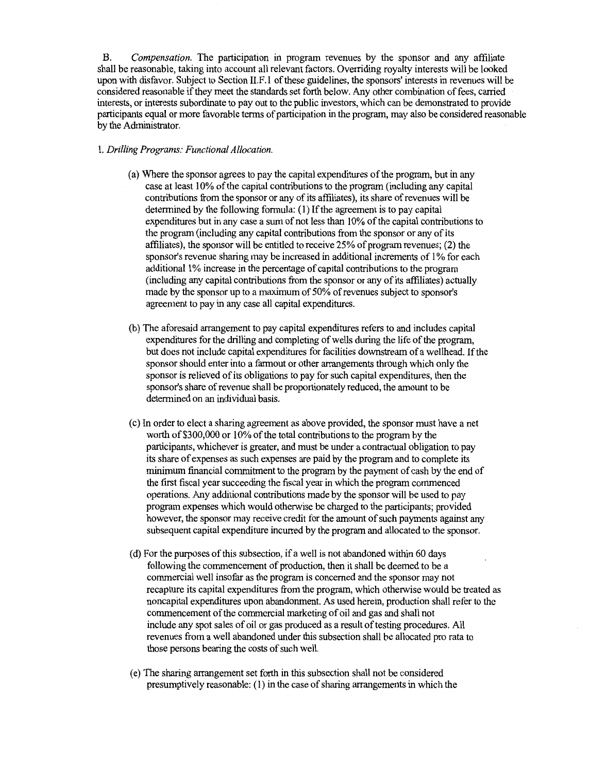B. *Compensation.* The participation in program revenues by the sponsor and any affiliate shall be reasonable, taking into account all relevant factors. Overriding royalty interests will be looked upon with disfavor. Subject to Section 11.F.l of these guidelines, the sponsors' interests in revenues will be considered reasonable if they meet the standards set forth below. Any other combination offees, carried interests, or interests subordinate to pay out to the public investors, which can be demonstrated to provide participants equal or more favorable terms of participation in the program, may also be considered reasonable by the Administrator.

#### 1. *Drilling Programs: Functional Allocation.*

- (a) Where the sponsor agrees to pay the capital expenditures of the program, but in any case at least 10% of the capital contributions to the program (including any capital contributions from the sponsor or any of its affiliates), its share of revenues will be determined by the following formula: (I) If the agreement is to pay capital expenditures but in any case a sum of not less than 10% of the capital contributions to the program (including any capital contributions from the sponsor or any of its affiliates), the sponsor will be entitled to receive 25% of program revenues; (2) the sponsor's revenue sharing may be increased in additional increments of I% for each additional I% increase in the percentage of capital contributions to the program (including any capital contributions from the sponsor or any of its affiliates) actually made by the sponsor up to a maximum of 50% of revenues subject to sponsor's agreement to pay in any case all capital expenditures.
- (b) The aforesaid arrangement to pay capital expenditures refers to and includes capital expenditures for the drilling and completing of wells during the life of the program, but does not include capital expenditures for facilities downstream of a wellhead. If the sponsor should enter into a farmout or other arrangements through which only the sponsor is relieved of its obligations to pay for such capital expenditures, then the sponsor's share of revenue shall be proportionately reduced, the amount to be determined on an individual basis.
- ( c) In order to elect a sharing agreement as above provided, the sponsor must have a net worth of \$300,000 or 10% of the total contributions to the program by the participants, whichever is greater, and must be under a contractual obligation to pay its share of expenses as such expenses are paid by the program and to complete its minimum financial commitment to the program by the payment of cash by the end of the first fiscal year succeeding the fiscal year in which the program commenced operations. Any additional contributions made by the sponsor will be used to pay program expenses which would otherwise be charged to the participants; provided however, the sponsor may receive credit for the amount of such payments against any subsequent capital expenditure incurred by the program and allocated to the sponsor.
- ( d) For the purposes of this subsection, if a well is not abandoned within 60 days following the commencement of production, then it shall be deemed to be a commercial well insofar as the program is concerned and the sponsor may not recapture its capital expenditures from the program, which otherwise would be treated as noncapital expenditures upon abandonment. As used herein, production shall refer to the commencement of the commercial marketing of oil and gas and shall not include any spot sales of oil or gas produced as a result of testing procedures. All revenues from a well abandoned under this subsection shall be allocated pro rata to those persons bearing the costs of such well.
- (e) The sharing arrangement set forth in this subsection shall not be considered presumptively reasonable: (I) in the case of sharing arrangements in which the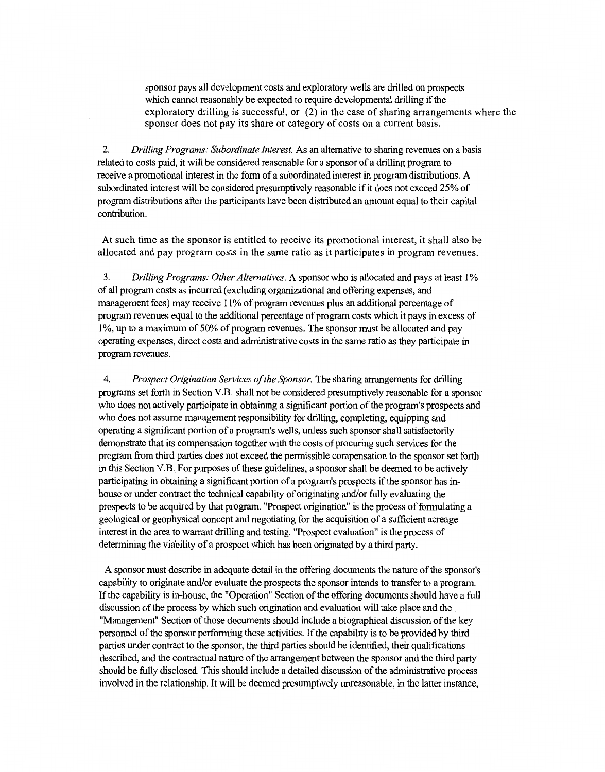sponsor pays all development costs and exploratory wells are drilled on prospects which cannot reasonably be expected to require developmental drilling if the exploratory drilling is successful, or (2) in the case of sharing arrangements where the sponsor does not pay its share or category of costs on a current basis.

2. *Drilling Programs: Subordinate Interest.* As an alternative to sharing revenues on a basis related to costs paid, it will be considered reasonable for a sponsor of a drilling program to receive a promotional interest in the form of a subordinated interest in program distributions. A subordinated interest will be considered presumptively reasonable if it does not exceed 25% of program distributions after the participants have been distributed an amount equal to their capital contribution.

At such time as the sponsor is entitled to receive its promotional interest, it shall also be allocated and pay program costs in the same ratio as it participates in program revenues.

3. *Drilling Programs: Other Alternatives.* A sponsor who is allocated and pays at least l % of all program costs as incurred (excluding organizational and offering expenses, and management fees) may receive 11% of program revenues plus an additional percentage of program revenues equal to the additional percentage of program costs which it pays in excess of 1 %, up to a maximum of 50% of program revenues. The sponsor must be allocated and pay operating expenses, direct costs and administrative costs in the same ratio as they participate in program revenues.

4. *Prospect Origination Services of the Sponsor.* The sharing arrangements for drilling programs set forth in Section V.B. shall not be considered presumptively reasonable for a sponsor who does not actively participate in obtaining a significant portion of the program's prospects and who does not assume management responsibility for drilling, completing, equipping and operating a significant portion of a program's wells, unless such sponsor shall satisfactorily demonstrate that its compensation together with the costs of procuring such services for the program from third parties does not exceed the permissible compensation to the sponsor set forth in this Section V.B. For purposes of these guidelines, a sponsor shall be deemed to be actively participating in obtaining a significant portion of a program's prospects if the sponsor has inhouse or under contract the technical capability of originating and/or fully evaluating the prospects to be acquired by that program. "Prospect origination" is the process of formulating a geological or geophysical concept and negotiating for the acquisition of a sufficient acreage interest in the area to warrant drilling and testing. "Prospect evaluation" is the process of determining the viability of a prospect which has been originated by a third party.

A sponsor must describe in adequate detail in the offering documents the nature of the sponsor's capability to originate and/or evaluate the prospects the sponsor intends to transfer to a program. If the capability is in-house, the "Operation" Section of the offering documents should have a full discussion of the process by which such origination and evaluation will take place and the "Management" Section of those documents should include a biographical discussion of the key personnel of the sponsor performing these activities. If the capability is to be provided by third parties under contract to the sponsor, the third parties should be identified, their qualifications described, and the contractual nature of the arrangement between the sponsor and the third party should be fully disclosed. This should include a detailed discussion of the administrative process involved in the relationship. It will be deemed presumptively unreasonable, in the latter instance,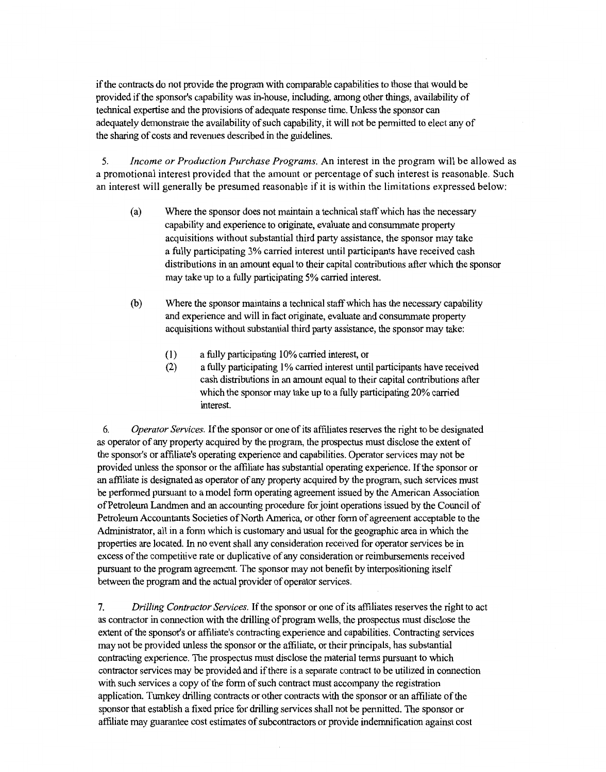ifthe contracts do not provide the program with comparable capabilities to those that would be provided ifthe sponsor's capability was in-house, including, among other things, availability of technical expertise and the provisions of adequate response time. Unless the sponsor can adequately demonstrate the availability of such capability, it will not be permitted to elect any of the sharing of costs and revenues described in the guidelines.

5. *Income or Production Purchase Programs.* An interest in the program will be allowed as a promotional interest provided that the amount or percentage of such interest is reasonable. Such an interest will generally be presumed reasonable if it is within the limitations expressed below:

- (a) Where the sponsor does not maintain a technical staff which has the necessary capability and experience to originate, evaluate and consummate property acquisitions without substantial third party assistance, the sponsor may take a fully participating 3% carried interest until participants have received cash distributions in an amount equal to their capital contributions after which the sponsor may take up to a fully participating 5% carried interest.
- (b) Where the sponsor maintains a technical staff which has the necessary capability and experience and will in fact originate, evaluate and consummate property acquisitions without substantial third party assistance, the sponsor may take:
	- ( 1) a fully participating 10% carried interest, or
	- (2) a fully participating 1% carried interest until participants have received cash distributions in an amount equal to their capital contributions after which the sponsor may take up to a fully participating 20% carried interest.

6. *Operator Services.* If the sponsor or one of its affiliates reserves the right to be designated as operator of any property acquired by the program, the prospectus must disclose the extent of the sponsor's or affiliate's operating experience and capabilities. Operator services may not be provided unless the sponsor or the affiliate has substantial operating experience. If the sponsor or an affiliate is designated as operator of any property acquired by the program, such services must be performed pursuant to a model form operating agreement issued by the American Association of Petroleum Landmen and an accounting procedure for joint operations issued by the Council of Petroleum Accountants Societies of North America, or other form of agreement acceptable to the Administrator, all in a form which is customary and usual for the geographic area in which the properties are located. In no event shall any consideration received for operator services be in excess of the competitive rate or duplicative of any consideration or reimbursements received pursuant to the program agreement. The sponsor may not benefit by interpositioning itself between the program and the actual provider of operator services.

7. *Drilling Contractor Services.* If the sponsor or one of its affiliates reserves the right to act as contractor in connection with the drilling of program wells, the prospectus must disclose the extent of the sponsor's or affiliate's contracting experience and capabilities. Contracting services may not be provided unless the sponsor or the affiliate, or their principals, has substantial contracting experience. The prospectus must disclose the material terms pursuant to which contractor services may be provided and ifthere is a separate contract to be utilized in connection with such services a copy of the form of such contract must accompany the registration application. Turnkey drilling contracts or other contracts with the sponsor or an affiliate of the sponsor that establish a fixed price for drilling services shall not be permitted. The sponsor or affiliate may guarantee cost estimates of subcontractors or provide indemnification against cost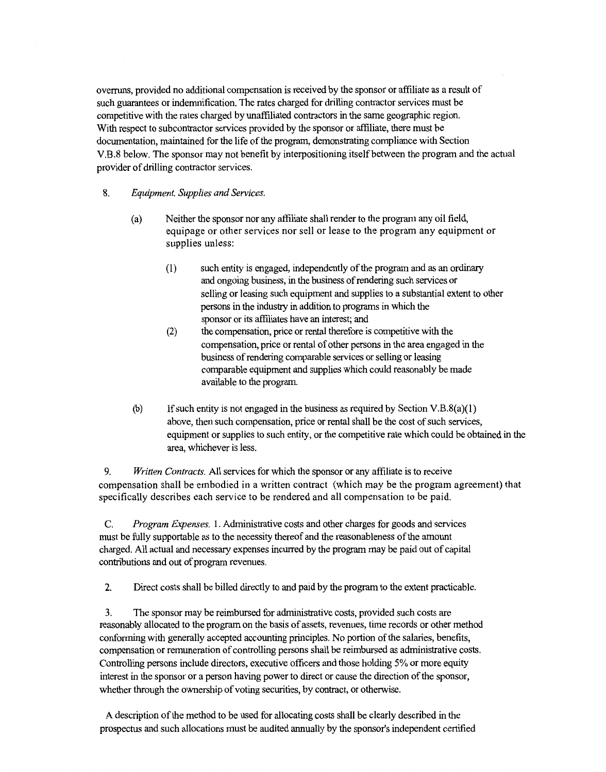overruns, provided no additional compensation is received by the sponsor or affiliate as a result of such guarantees or indemnification. The rates charged for drilling contractor services must be competitive with the rates charged by unaffiliated contractors in the same geographic region. With respect to subcontractor services provided by the sponsor or affiliate, there must be documentation, maintained for the life of the program, demonstrating compliance with Section V.B.8 below. The sponsor may not benefit by interpositioning itself between the program and the actual provider of drilling contractor services.

- 8. *Equipment, Supplies and Services.* 
	- (a) Neither the sponsor nor any affiliate shall render to the program any oil field, equipage or other services nor sell or lease to the program any equipment or supplies unless:
		- (1) such entity is engaged, independently of the program and as an ordinary and ongoing business, in the business of rendering such services or selling or leasing such equipment and supplies to a substantial extent to other persons in the industry in addition to programs in which the sponsor or its affiliates have an interest; and
		- (2) the compensation, price or rental therefore is competitive with the compensation, price or rental of other persons in the area engaged in the business of rendering comparable services or selling or leasing comparable equipment and supplies which could reasonably be made available to the program.
	- (b) If such entity is not engaged in the business as required by Section V.B.8(a)(1) above, then such compensation, price or rental shall be the cost of such services, equipment or supplies to such entity, or the competitive rate which could be obtained in the area, whichever is less.

9. *Written Contracts.* All services for which the sponsor or any affiliate is to receive compensation shall be embodied in a written contract (which may be the program agreement) that specifically describes each service to be rendered and all compensation to be paid.

C. *Program Expenses.* 1. Administrative costs and other charges for goods and services must be fully supportable as to the necessity thereof and the reasonableness of the amount charged. All actual and necessary expenses incurred by the program may be paid out of capital contributions and out of program revenues.

2. Direct costs shall be billed directly to and paid by the program to the extent practicable.

3. The sponsor may be reimbursed for administrative costs, provided such costs are reasonably allocated to the program on the basis of assets, revenues, time records or other method conforming with generally accepted accounting principles. No portion of the salaries, benefits, compensation or remuneration of controlling persons shall be reimbursed as administrative costs. Controlling persons include directors, executive officers and those holding 5% or more equity interest in the sponsor or a person having power to direct or cause the direction of the sponsor, whether through the ownership of voting securities, by contract, or otherwise.

A description of the method to be used for allocating costs shall be clearly described in the prospectus and such allocations must be audited annually by the sponsor's independent certified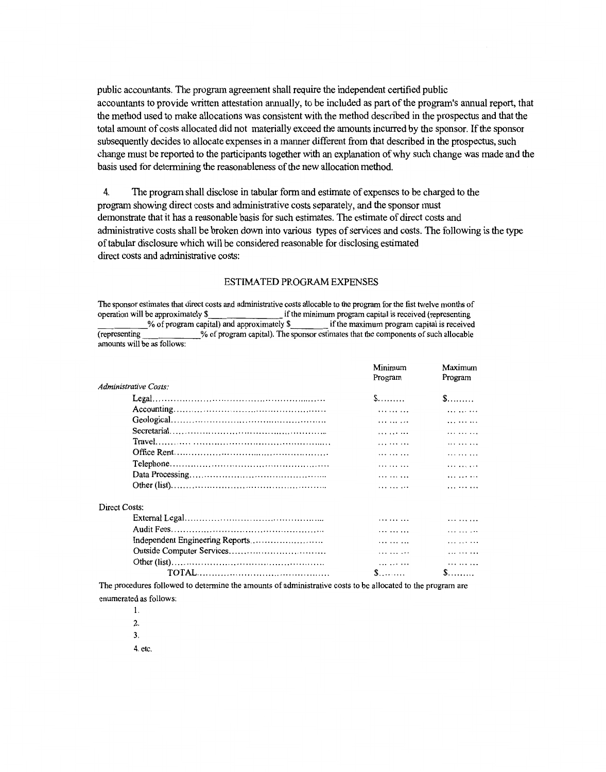public accountants. The program agreement shall require the independent certified public accountants to provide written attestation annually, to be included as part of the program's annual report, that the method used to make allocations was consistent with the method described in the prospectus and that the total amount of costs allocated did not materially exceed the amounts incurred by the sponsor. If the sponsor subsequently decides to allocate expenses in a manner different from that described in the prospectus, such change must be reported to the participants together with an explanation of why such change was made and the basis used for determining the reasonableness of the new allocation method.

4. The program shall disclose in tabular form and estimate of expenses to be charged to the program showing direct costs and administrative costs separately, and the sponsor must demonstrate that it has a reasonable basis for such estimates. The estimate of direct costs and administrative costs shall be broken down into various types of services and costs. The following is the type of tabular disclosure which will be considered reasonable for disclosing estimated direct costs and administrative costs:

#### ESTIMATED PROGRAM EXPENSES

The sponsor estimates that direct costs and administrative costs allocable to the program for the fist twelve months of operation will be approximately\$ ifthe minimum program capital is received (representing \_\_\_\_\_ %of program capital) and approximately\$ ifthe maximum program capital is received % of program capital). The sponsor estimates that the components of such allocable amounts will be as follows:

|                                                                                                                       | Minimum<br>Program | Maximum<br>Program |
|-----------------------------------------------------------------------------------------------------------------------|--------------------|--------------------|
| Administrative Costs:                                                                                                 |                    |                    |
|                                                                                                                       | $S$                | $\mathbb{S}$       |
|                                                                                                                       | .                  |                    |
|                                                                                                                       | .                  |                    |
|                                                                                                                       | . <i>.</i>         | .                  |
|                                                                                                                       | .                  | .                  |
|                                                                                                                       | .                  |                    |
|                                                                                                                       | .                  | .                  |
|                                                                                                                       | $\cdots$           |                    |
|                                                                                                                       | .                  | .                  |
| Direct Costs:                                                                                                         |                    |                    |
|                                                                                                                       |                    |                    |
|                                                                                                                       | .                  | .                  |
|                                                                                                                       | .                  |                    |
|                                                                                                                       | .                  | .                  |
|                                                                                                                       | .                  | $\cdots$           |
|                                                                                                                       | $S$                | $S$ .              |
| mission of the contract to the contract contract of the contract of the contract of the contract of the component and |                    |                    |

The procedures followed to determine the amounts of administrative costs to be allocated to the program are enumerated as follows:

1. 2. 3.

4. etc.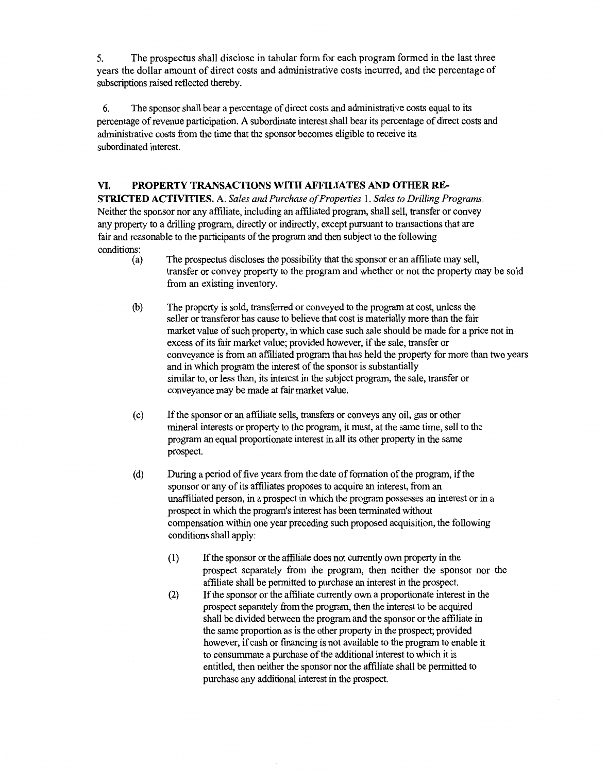5. The prospectus shall disclose in tabular form for each program formed in the last three years the dollar amount of direct costs and administrative costs incurred, and the percentage of subscriptions raised reflected thereby.

6. The sponsor shall bear a percentage of direct costs and administrative costs equal to its percentage of revenue participation. A subordinate interest shall bear its percentage of direct costs and administrative costs from the time that the sponsor becomes eligible to receive its subordinated interest.

## **VI. PROPERTY TRANSACTIONS WITH AFFILIATES AND OTHER RE-**

**STRICTED ACTIVITIES.** A. *Sales and Purchase of Properties* I. *Sales to Drilling Programs.*  Neither the sponsor nor any affiliate, including an affiliated program, shall sell, transfer or convey any property to a drilling program, directly or indirectly, except pursuant to transactions that are fair and reasonable to the participants of the program and then subject to the following conditions:

- (a) The prospectus discloses the possibility that the sponsor or an affiliate may sell, transfer or convey property to the program and whether or not the property may be sold from an existing inventory.
- (b) The property is sold, transferred or conveyed to the program at cost, unless the seller or transferor has cause to believe that cost is materially more than the fair market value of such property, in which case such sale should be made for a price not in excess of its fair market value; provided however, if the sale, transfer or conveyance is from an affiliated program that has held the property for more than two years and in which program the interest of the sponsor is substantially similar to, or less than, its interest in the subject program, the sale, transfer or conveyance may be made at fair market value.
- ( c) If the sponsor or an affiliate sells, transfers or conveys any oil, gas or other mineral interests or property to the program, it must, at the same time, sell to the program an equal proportionate interest in all its other property in the same prospect.
- (d) During a period of five years from the date of formation of the program, ifthe sponsor or any of its affiliates proposes to acquire an interest, from an unaffiliated person, in a prospect in which the program possesses an interest or in a prospect in which the program's interest has been terminated without compensation within one year preceding such proposed acquisition, the following conditions shall apply:
	- (1) If the sponsor or the affiliate does not currently own property in the prospect separately from the program, then neither the sponsor nor the affiliate shall be permitted to purchase an interest in the prospect.
	- (2) If the sponsor or the affiliate currently own a proportionate interest in the prospect separately from the program, then the interest to be acquired shall be divided between the program and the sponsor or the affiliate in the same proportion as is the other property in the prospect; provided however, if cash or financing is not available to the program to enable it to consummate a purchase of the additional interest to which it is entitled, then neither the sponsor nor the affiliate shall be permitted to purchase any additional interest in the prospect.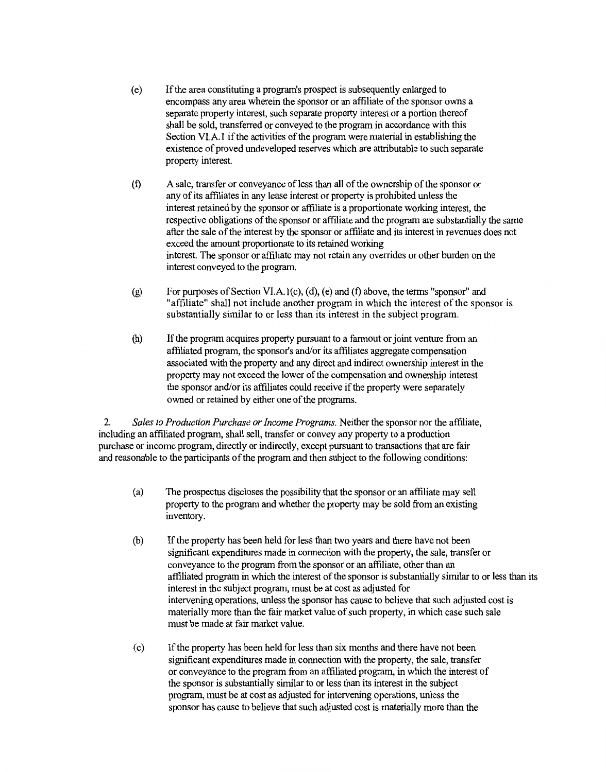- ( e) If the area constituting a program's prospect is subsequently enlarged to encompass any area wherein the sponsor or an affiliate of the sponsor owns a separate property interest, such separate property interest or a portion thereof shall be sold, transferred or conveyed to the program in accordance with this Section VI.A.1 if the activities of the program were material in establishing the existence of proved undeveloped reserves which are attributable to such separate property interest.
- (f) A sale, transfer or conveyance ofless than all of the ownership of the sponsor or any of its affiliates in any lease interest or property is prohibited unless the interest retained by the sponsor or affiliate is a proportionate working interest, the respective obligations of the sponsor or affiliate and the program are substantially the same after the sale of the interest by the sponsor or affiliate and its interest in revenues does not exceed the amount proportionate to its retained working interest. The sponsor or affiliate may not retain any overrides or other burden on the interest conveyed to the program.
- (g) For purposes of Section VI.A.  $l(c)$ ,  $(d)$ ,  $(e)$  and  $(f)$  above, the terms "sponsor" and "affiliate" shall not include another program in which the interest of the sponsor is substantially similar to or less than its interest in the subject program.
- (h) If the program acquires property pursuant to a farmout or joint venture from an affiliated program, the sponsor's and/or its affiliates aggregate compensation associated with the property and any direct and indirect ownership interest in the property may not exceed the lower of the compensation and ownership interest the sponsor and/or its affiliates could receive if the property were separately owned or retained by either one of the programs.

2. *Sales to Production Purchase or Income Programs.* Neither the sponsor nor the affiliate, including an affiliated program, shall sell, transfer or convey any property to a production purchase or income program, directly or indirectly, except pursuant to transactions that are fair and reasonable to the participants of the program and then subject to the following conditions:

- (a) The prospectus discloses the possibility that the sponsor or an affiliate may sell property to the program and whether the property may be sold from an existing inventory.
- (b) If the property has been held for less than two years and there have not been significant expenditures made in connection with the property, the sale, transfer or conveyance to the program from the sponsor or an affiliate, other than an affiliated program in which the interest of the sponsor is substantially similar to or less than its interest in the subject program, must be at cost as adjusted for intervening operations, unless the sponsor has cause to believe that such adjusted cost is materially more than the fair market value of such property, in which case such sale must be made at fair market value.
- (c) If the property has been held for less than six months and there have not been significant expenditures made in connection with the property, the sale, transfer or conveyance to the program from an affiliated program, in which the interest of the sponsor is substantially similar to or less than its interest in the subject program, must be at cost as adjusted for intervening operations, unless the sponsor has cause to believe that such adjusted cost is materially more than the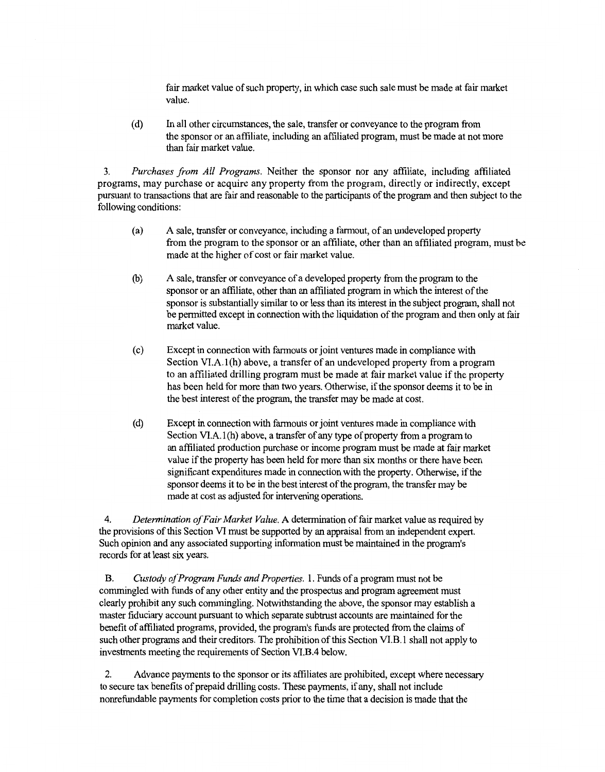fair market value of such property, in which case such sale must be made at fair market value.

( d) In all other circumstances, the sale, transfer or conveyance to the program from the sponsor or an affiliate, including an affiliated program, must be made at not more than fair market value.

3. *Purchases from All Programs.* Neither the sponsor nor any affiliate, including affiliated programs, may purchase or acquire any property from the program, directly or indirectly, except pursuant to transactions that are fair and reasonable to the participants of the program and then subject to the following conditions:

- (a) A sale, transfer or conveyance, including a farmout, of an undeveloped property from the program to the sponsor or an affiliate, other than an affiliated program, must be made at the higher of cost or fair market value.
- (b) A sale, transfer or conveyance of a developed property from the program to the sponsor or an affiliate, other than an affiliated program in which the interest of the sponsor is substantially similar to or less than its interest in the subject program, shall not be permitted except in connection with the liquidation of the program and then only at fair market value.
- ( c) Except in connection with farmouts or joint ventures made in compliance with Section VI.A.1(h) above, a transfer of an undeveloped property from a program to an affiliated drilling program must be made at fair market value if the property has been held for more than two years. Otherwise, if the sponsor deems it to be in the best interest of the program, the transfer may be made at cost.
- (d) Except in connection with farmouts or joint ventures made in compliance with Section VI.A.1(h) above, a transfer of any type of property from a program to an affiliated production purchase or income program must be made at fair market value if the property has been held for more than six months or there have been significant expenditures made in connection with the property. Otherwise, if the sponsor deems it to be in the best interest of the program, the transfer may be made at cost as adjusted for intervening operations.

4. *Determination of Fair Market Value.* A determination offair market value as required by the provisions of this Section VI must be supported by an appraisal from an independent expert. Such opinion and any associated supporting information must be maintained in the program's records for at least six years.

B. *Custody of Program Funds and Properties.* I. Funds of a program must not be commingled with funds of any other entity and the prospectus and program agreement must clearly prohibit any such commingling. Notwithstanding the above, the sponsor may establish a master fiduciary account pursuant to which separate subtrust accounts are maintained for the benefit of affiliated programs, provided, the program's funds are protected from the claims of such other programs and their creditors. The prohibition of this Section Vl.B. I shall not apply to investments meeting the requirements of Section VI.B.4 below.

2. Advance payments to the sponsor or its affiliates are prohibited, except where necessary to secure tax benefits of prepaid drilling costs. These payments, if any, shall not include nonrefundable payments for completion costs prior to the time that a decision is made that the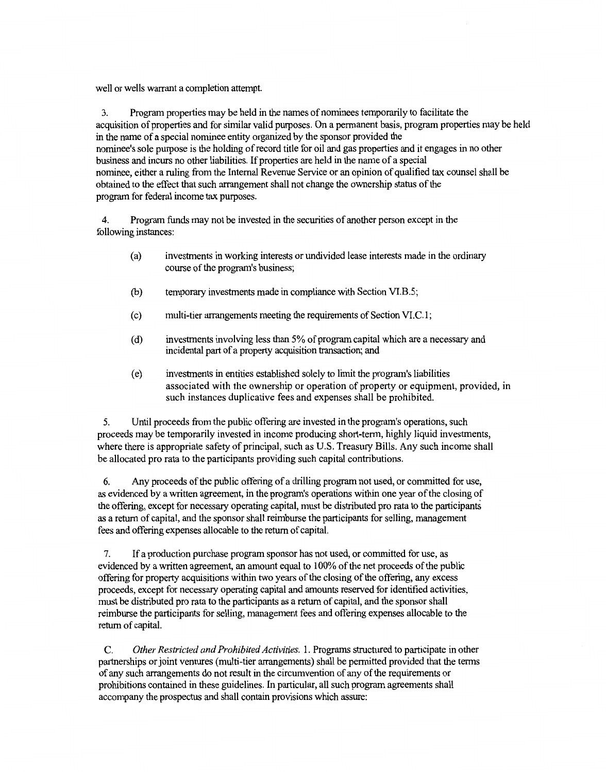well or wells warrant a completion attempt.

3. Program properties may be held in the names of nominees temporarily to facilitate the acquisition of properties and for similar valid purposes. On a permanent basis, program properties may be held in the name of a special nominee entity organized by the sponsor provided the nominee's sole purpose is the holding of record title for oil and gas properties and it engages in no other business and incurs no other liabilities. If properties are held in the name of a special nominee, either a ruling from the Internal Revenue Service or an opinion of qualified tax counsel shall be obtained to the effect that such arrangement shall not change the ownership status of the program for federal income tax purposes.

4. Program funds may not be invested in the securities of another person except in the following instances:

- (a) investments in working interests or undivided lease interests made in the ordinary course of the program's business;
- (b) temporary investments made in compliance with Section VI.B.5;
- ( c) multi-tier arrangements meeting the requirements of Section VI.C.1;
- ( d) investments involving less than 5% of program capital which are a necessary and incidental part of a property acquisition transaction; and
- ( e) investments in entities established solely to limit the program's liabilities associated with the ownership or operation of property or equipment, provided, in such instances duplicative fees and expenses shall be prohibited.

5. Until proceeds from the public offering are invested in the program's operations, such proceeds may be temporarily invested in income producing short-term, highly liquid investments, where there is appropriate safety of principal, such as U.S. Treasury Bills. Any such income shall be allocated pro rata to the participants providing such capital contributions.

6. Any proceeds of the public offering of a drilling program not used, or committed for use, as evidenced by a written agreement, in the program's operations within one year of the closing of the offering, except for necessary operating capital, must be distributed pro rata to the participants as a return of capital, and the sponsor shall reimburse the participants for selling, management fees and offering expenses allocable to the return of capital.

7. If a production purchase program sponsor has not used, or committed for use, as evidenced by a written agreement, an amount equal to 100% of the net proceeds of the public offering for property acquisitions within two years of the closing of the offering, any excess proceeds, except for necessary operating capital and amounts reserved for identified activities, must be distributed pro rata to the participants as a return of capital, and the sponsor shall reimburse the participants for selling, management fees and offering expenses allocable to the return of capital.

C. *Other Restricted and Prohibited Activities.* 1. Programs structured to participate in other partnerships or joint ventures (multi-tier arrangements) shall be permitted provided that the terms of any such arrangements do not result in the circumvention of any of the requirements or prohibitions contained in these guidelines. In particular, all such program agreements shall accompany the prospectus and shall contain provisions which assure: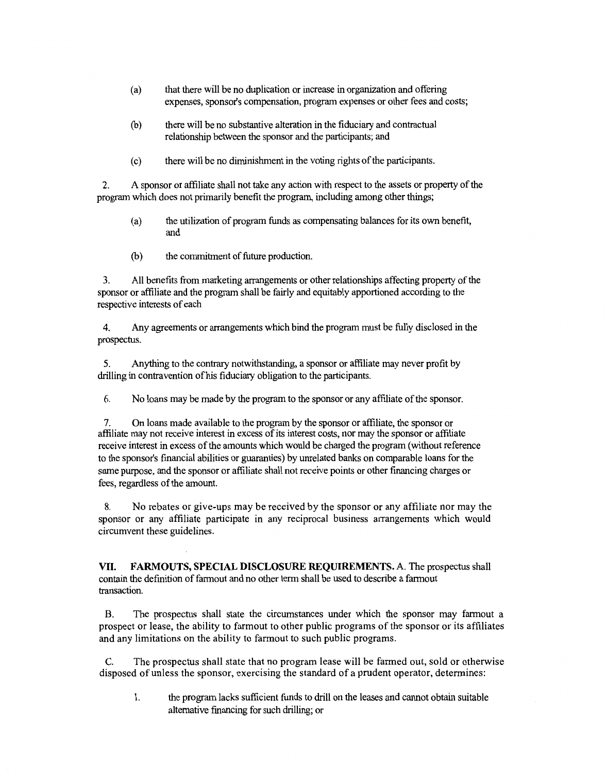- (a) that there will be no duplication or increase in organization and offering expenses, sponsor's compensation, program expenses or other fees and costs;
- (b) there will be no substantive alteration in the fiduciary and contractual relationship between the sponsor and the participants; and
- ( c) there will be no diminishment in the voting rights of the participants.

2. A sponsor or affiliate shall not take any action with respect to the assets or property of the program which does not primarily benefit the program, including among other things;

- (a) the utilization of program funds as compensating balances for its own benefit, and
- (b) the commitment of future production.

3. All benefits from marketing arrangements or other relationships affecting property of the sponsor or affiliate and the program shall be fairly and equitably apportioned according to the respective interests of each

4. Any agreements or arrangements which bind the program must be fully disclosed in the prospectus.

5. Anything to the contrary notwithstanding, a sponsor or affiliate may never profit by drilling in contravention of his fiduciary obligation to the participants.

6. No loans may be made by the program to the sponsor or any affiliate of the sponsor.

7. On loans made available to the program by the sponsor or affiliate, the sponsor or affiliate may not receive interest in excess of its interest costs, nor may the sponsor or affiliate receive interest in excess of the amounts which would be charged the program (without reference to the sponsor's financial abilities or guaranties) by unrelated banks on comparable loans for the same purpose, and the sponsor or affiliate shall not receive points or other financing charges or fees, regardless of the amount.

8. No rebates or give-ups may be received by the sponsor or any affiliate nor may the sponsor or any affiliate participate in any reciprocal business arrangements which would circumvent these guidelines.

**VII. FARMOUTS, SPECIAL DISCLOSURE REQUIREMENTS.** A. The prospectus shall contain the definition of farmout and no other term shall be used to describe a farmout transaction.

B. The prospectus shall state the circumstances under which the sponsor may farmout a prospect or lease, the ability to farmout to other public programs of the sponsor or its affiliates and any limitations on the ability to farmout to such public programs.

C. The prospectus shall state that no program lease will be farmed out, sold or otherwise disposed of unless the sponsor, exercising the standard of a prudent operator, determines:

1. the program lacks sufficient funds to drill on the leases and cannot obtain suitable alternative financing for such drilling; or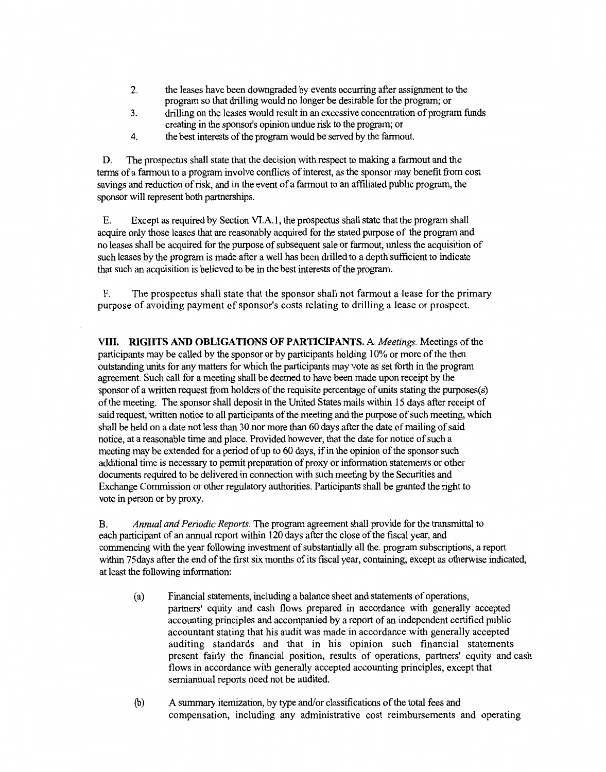- 2. the leases have been downgraded by events occurring after assignment to the program so that drilling would no longer be desirable for the program; or
- 3. drilling on the leases would result in an excessive concentration of program funds creating in the sponsor's opinion undue risk to the program; or
- 4. the best interests of the program would be served by the fannout.

D. The prospectus shall state that the decision with respect to making a farmout and the terms of a fannout to a program involve conflicts of interest, as the sponsor may benefit from cost savings and reduction of risk, and in the event of a fannout to an affiliated public program, the sponsor will represent both partnerships.

E. Except as required by Section VI.A. I, the prospectus shall state that the program shall acquire only those leases that are reasonably acquired for the stated purpose of the program and no leases shall be acquired for the purpose of subsequent sale or fannout, unless the acquisition of such leases by the program is made after a well has been drilled to a depth sufficient to indicate that such an acquisition is believed to be in the best interests of the program.

F. The prospectus shall state that the sponsor shall not farmout a lease for the primary purpose of avoiding payment of sponsor's costs relating to drilling a lease or prospect.

**VIII. RIGHTS AND OBLIGATIONS OF PARTICIPANTS.** A *Meetings.* Meetings of the participants may be called by the sponsor or by participants holding 10% or more of the then outstanding units for any matters for which the participants may vote as set forth in the program agreement. Such call for a meeting shall be deemed to have been made upon receipt by the sponsor of a written request from holders of the requisite percentage of units stating the purposes(s) of the meeting. The sponsor shall deposit in the United States mails within 15 days after receipt of said request, written notice to all participants of the meeting and the purpose of such meeting, which shall be held on a date not less than 30 nor more than 60 days after the date of mailing of said notice, at a reasonable time and place. Provided however, that the date for notice of such a meeting may be extended for a period of up to 60 days, if in the opinion of the sponsor such additional time is necessary to permit preparation of proxy or information statements or other documents required to be delivered in connection with such meeting by the Securities and Exchange Commission or other regulatory authorities. Participants shall be granted the right to vote in person or by proxy.

B. *Annual and Periodic Reports.* The program agreement shall provide for the transmittal to each participant of an annual report within 120 days after the close of the fiscal year, and commencing with the year following investment of substantially all the. program subscriptions, a report within 75days after the end of the first six months of its fiscal year, containing, except as otherwise indicated, at least the following information:

- (a) Financial statements, including a balance sheet and statements of operations, partners' equity and cash flows prepared in accordance with generally accepted accounting principles and accompanied by a report of an independent certified public accountant stating that his audit was made in accordance with generally accepted auditing standards and that in his opinion such financial statements present fairly the financial position, results of operations, partners' equity and cash flows in accordance with generally accepted accounting principles, except that semiannual reports need not be audited.
- (b) A summary itemization, by type and/or classifications of the total fees and compensation, including any administrative cost reimbursements and operating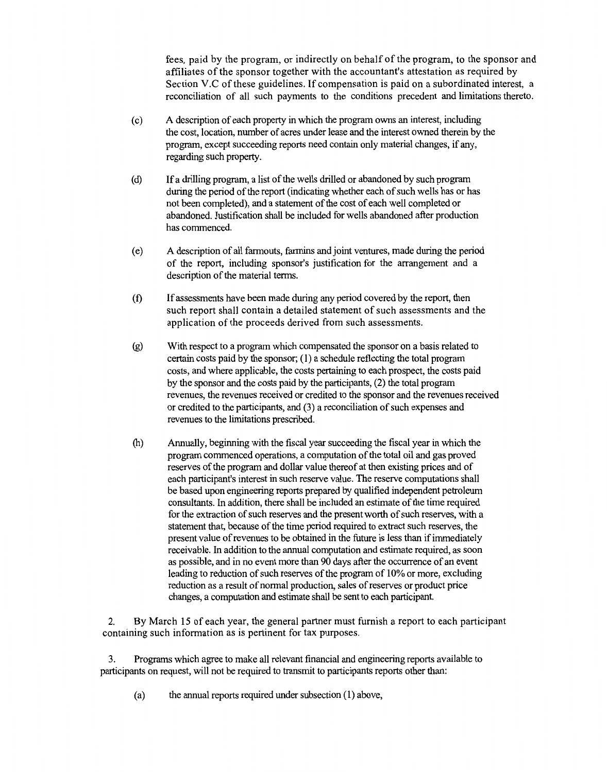fees, paid by the program, or indirectly on behalf of the program, to the sponsor and affiliates of the sponsor together with the accountant's attestation as required by Section V.C of these guidelines. If compensation is paid on a subordinated interest, a reconciliation of all such payments to the conditions precedent and limitations thereto.

- ( c) A description of each property in which the program owns an interest, including the cost, location, number of acres under lease and the interest owned therein by the program, except succeeding reports need contain only material changes, if any, regarding such property.
- ( d) If a drilling program, a list of the wells drilled or abandoned by such program during the period of the report (indicating whether each of such wells has or has not been completed), and a statement of the cost of each well completed or abandoned. Justification shall be included for wells abandoned after production has commenced.
- ( e) A description of all farmouts, farmins and joint ventures, made during the period of the report, including sponsor's justification for the arrangement and a description of the material terms.
- (t) If assessments have been made during any period covered by the report, then such report shall contain a detailed statement of such assessments and the application of the proceeds derived from such assessments.
- (g) With respect to a program which compensated the sponsor on a basis related to certain costs paid by the sponsor; ( 1) a schedule reflecting the total program costs, and where applicable, the costs pertaining to each prospect, the costs paid by the sponsor and the costs paid by the participants, (2) the total program revenues, the revenues received or credited to the sponsor and the revenues received or credited to the participants, and (3) a reconciliation of such expenses and revenues to the limitations prescribed.
- (h) Annually, beginning with the fiscal year succeeding the fiscal year in which the program commenced operations, a computation of the total oil and gas proved reserves of the program and dollar value thereof at then existing prices and of each participant's interest in such reserve value. The reserve computations shall be based upon engineering reports prepared by qualified independent petroleum consultants. In addition, there shall be included an estimate of the time required for the extraction of such reserves and the present worth of such reserves, with a statement that, because of the time period required to extract such reserves, the present value of revenues to be obtained in the future is less than if immediately receivable. In addition to the annual computation and estimate required, as soon as possible, and in no event more than 90 days after the occurrence of an event leading to reduction of such reserves of the program of 10% or more, excluding reduction as a result of normal production, sales of reserves or product price changes, a computation and estimate shall be sent to each participant.

2. By March 15 of each year, the general partner must furnish a report to each participant containing such information as is pertinent for tax purposes.

3. Programs which agree to make all relevant financial and engineering reports available to participants on request, will not be required to transmit to participants reports other than:

 $(a)$  the annual reports required under subsection  $(1)$  above,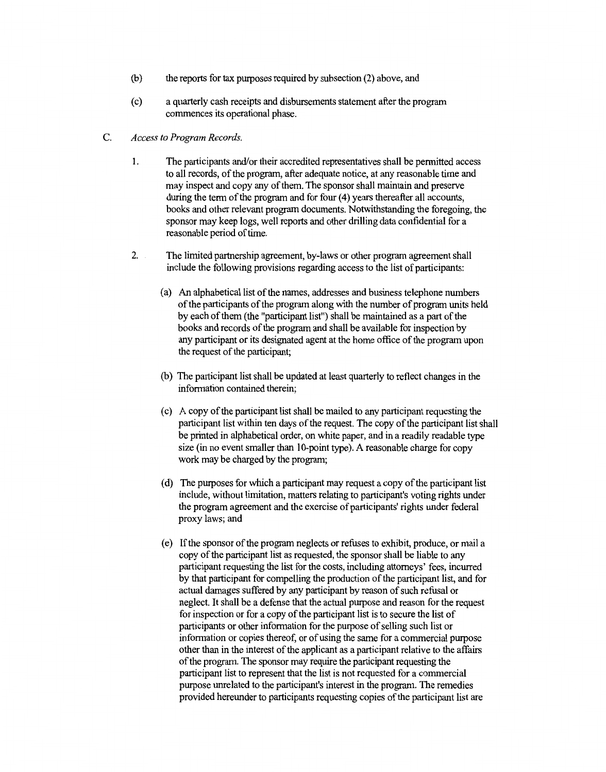- (b) the reports for tax pwposes required by subsection (2) above, and
- ( c) a quarterly cash receipts and disbursements statement after the program commences its operational phase.
- C. *Access to Program Records.* 
	- 1. The participants and/or their accredited representatives shall be permitted access to all records, of the program, after adequate notice, at any reasonable time and may inspect and copy any of them. The sponsor shall maintain and preserve during the term of the program and for four (4) years thereafter all accounts, books and other relevant program documents. Notwithstanding the foregoing, the sponsor may keep logs, well reports and other drilling data confidential for a reasonable period of time.
	- 2. The limited partnership agreement, by-laws or other program agreement shall include the following provisions regarding access to the list of participants:
		- (a) An alphabetical list of the names, addresses and business telephone numbers of the participants of the program along with the number of program units held by each of them (the "participant list") shall be maintained as a part of the books and records of the program and shall be available for inspection by any participant or its designated agent at the home office of the program upon the request of the participant;
		- (b) The participant list shall be updated at least quarterly to reflect changes in the information contained therein;
		- ( c) A copy of the participant list shall be mailed to any participant requesting the participant list within ten days of the request. The copy of the participant list shall be printed in alphabetical order, on white paper, and in a readily readable type size (in no event smaller than 10-point type). A reasonable charge for copy work may be charged by the program;
		- ( d) The pwposes for which a participant may request a copy of the participant list include, without limitation, matters relating to participant's voting rights under the program agreement and the exercise of participants' rights under federal proxy laws; and
		- ( e) If the sponsor of the program neglects or refuses to exhibit, produce, or mail a copy of the participant list as requested, the sponsor shall be liable to any participant requesting the list for the costs, including attorneys' fees, incurred by that participant for compelling the production of the participant list, and for actual damages suffered by any participant by reason of such refusal or neglect. It shall be a defense that the actual pwpose and reason for the request for inspection or for a copy of the participant list is to secure the list of participants or other information for the purpose of selling such list or information or copies thereof, or of using the same for a commercial pwpose other than in the interest of the applicant as a participant relative to the affairs of the program. The sponsor may require the participant requesting the participant list to represent that the list is not requested for a commercial pwpose unrelated to the participant's interest in the program. The remedies provided hereunder to participants requesting copies of the participant list are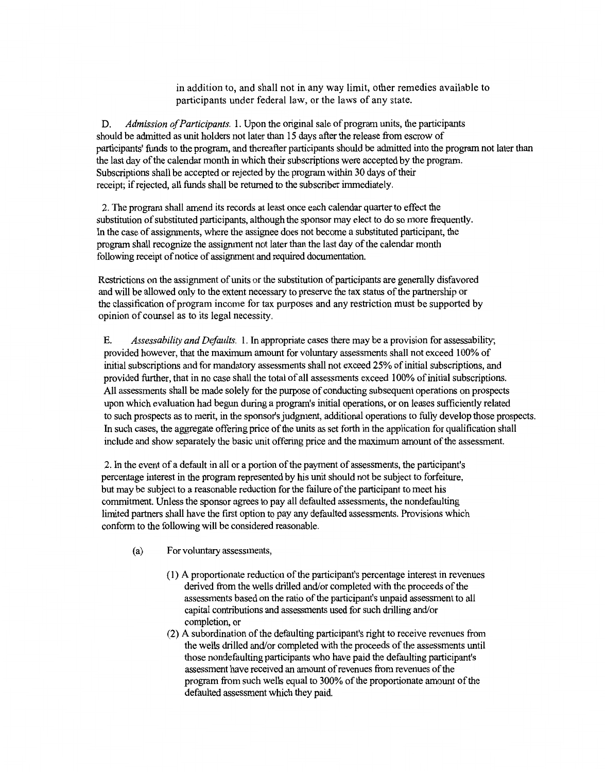in addition to, and shall not in any way limit, other remedies available to participants under federal law, or the laws of any state.

D. *Admission of Participants.* l. Upon the original sale of program units, the participants should be admitted as unit holders not later than 15 days after the release from escrow of participants' funds to the program, and thereafter participants should be admitted into the program not later than the last day of the calendar month in which their subscriptions were accepted by the program. Subscriptions shall be accepted or rejected by the program within 30 days of their receipt; if rejected, all funds shall be returned to the subscriber immediately.

2. The program shall amend its records at least once each calendar quarter to effect the substitution of substituted participants, although the sponsor may elect to do so more frequently. In the case of assignments, where the assignee does not become a substituted participant, the program shall recognize the assignment not later than the last day of the calendar month following receipt of notice of assignment and required documentation.

Restrictions on the assignment of units or the substitution of participants are generally disfavored and will be allowed only to the extent necessary to preserve the tax status of the partnership or the classification of program income for tax purposes and any restriction must be supported by opinion of counsel as to its legal necessity.

E. *Assessability and Defaults.* 1. In appropriate cases there may be a provision for assessability; provided however, that the maximum amount for voluntary assessments shall not exceed 100% of initial subscriptions and for mandatory assessments shall not exceed 25% of initial subscriptions, and provided further, that in no case shall the total of all assessments exceed 100% of initial subscriptions. All assessments shall be made solely for the purpose of conducting subsequent operations on prospects upon which evaluation had begun during a program's initial operations, or on leases sufficiently related to such prospects as to merit, in the sponsor's judgment, additional operations to fully develop those prospects. In such cases, the aggregate offering price of the units as set forth in the application for qualification shall include and show separately the basic unit offering price and the maximum amount of the assessment.

2. In the event of a default in all or a portion of the payment of assessments, the participant's percentage interest in the program represented by his unit should not be subject to forfeiture, but may be subject to a reasonable reduction for the failure of the participant to meet his commitment. Unless the sponsor agrees to pay all defaulted assessments, the nondefaulting limited partners shall have the first option to pay any defaulted assessments. Provisions which conform to the following will be considered reasonable.

- (a) For voluntary assessments,
	- ( 1) A proportionate reduction of the participant's percentage interest in revenues derived from the wells drilled and/or completed with the proceeds of the assessments based on the ratio of the participant's unpaid assessment to all capital contributions and assessments used for such drilling and/or completion, or
	- (2) A subordination of the defaulting participant's right to receive revenues from the wells drilled and/or completed with the proceeds of the assessments until those nondefaulting participants who have paid the defaulting participant's assessment have received an amount of revenues from revenues of the program from such wells equal to 300% of the proportionate amount of the defaulted assessment which they paid.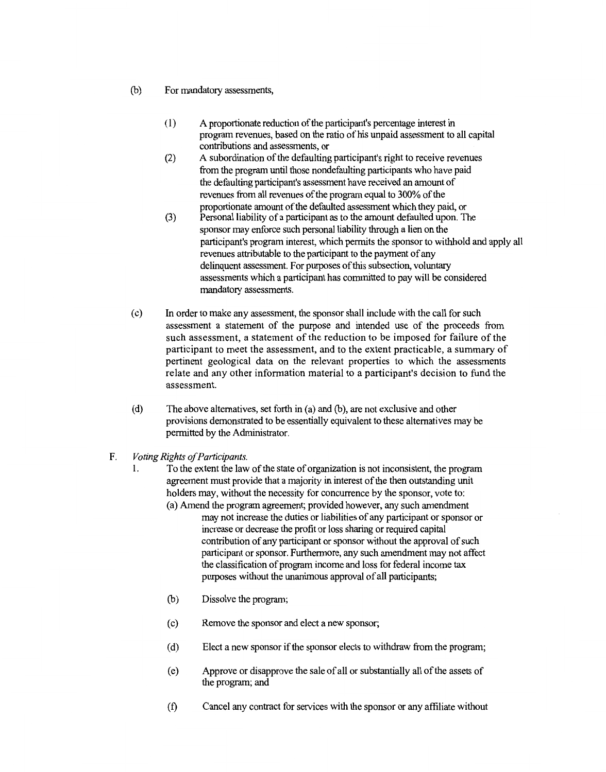- (b) For mandatory assessments,
	- ( 1) A proportionate reduction of the participant's percentage interest in program revenues, based on the ratio of his unpaid assessment to all capital contributions and assessments, or
	- (2) A subordination of the defaulting participant's right to receive revenues from the program until those nondefaulting participants who have paid the defaulting participant's assessment have received an amount of revenues from all revenues of the program equal to 300% of the proportionate amount of the defaulted assessment which they paid, or
	- (3) Personal liability of a participant as to the amount defaulted upon. The sponsor may enforce such personal liability through a lien on the participant's program interest, which permits the sponsor to withhold and apply all revenues attributable to the participant to the payment of any delinquent assessment. For purposes of this subsection, voluntary assessments which a participant has committed to pay will be considered mandatory assessments.
- ( c) In order to make any assessment, the sponsor shall include with the call for such assessment a statement of the purpose and intended use of the proceeds from such assessment, a statement of the reduction to be imposed for failure of the participant to meet the assessment, and to the extent practicable, a summary of pertinent geological data on the relevant properties to which the assessments relate and any other information material to a participant's decision to fund the assessment.
- (d) The above alternatives, set forth in (a) and (b), are not exclusive and other provisions demonstrated to be essentially equivalent to these alternatives may be permitted by the Administrator.
- F. *Voting Rights of Participants.* 
	- 1. To the extent the law of the state oforganization is not inconsistent, the program agreement must provide that a majority in interest of the then outstanding unit holders may, without the necessity for concurrence by the sponsor, vote to: (a) Amend the program agreement; provided however, any such amendment
		- may not increase the duties or liabilities of any participant or sponsor or increase or decrease the profit or loss sharing or required capital contribution of any participant or sponsor without the approval of such participant or sponsor. Furthermore, any such amendment may not affect the classification of program income and loss for federal income tax purposes without the unanimous approval of all participants;
		- (b) Dissolve the program;
		- ( c) Remove the sponsor and elect a new sponsor;
		- (d) Elect a new sponsor if the sponsor elects to withdraw from the program;
		- ( e) Approve or disapprove the sale of all or substantially all of the assets of the program; and
		- (f) Cancel any contract for services with the sponsor or any affiliate without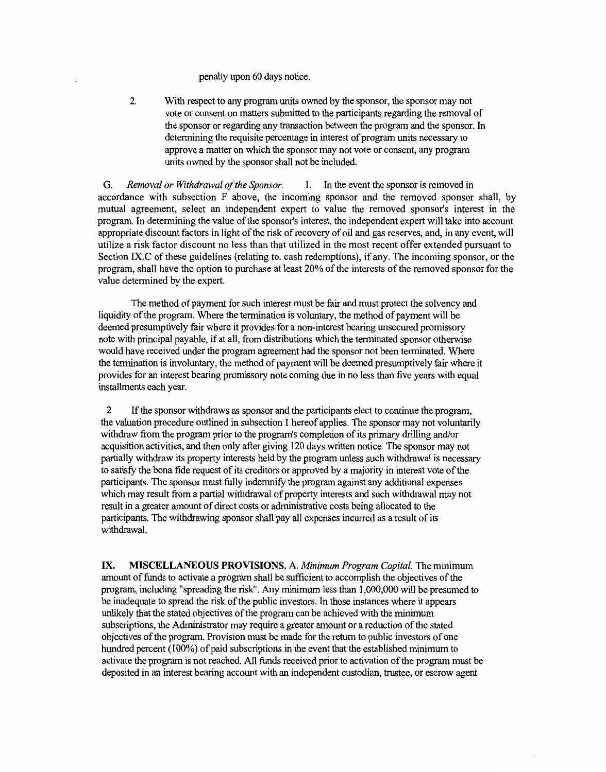penalty upon 60 days notice.

2. With respect to any program units owned by the sponsor, the sponsor may not vote or consent on matters submitted to the participants regarding the removal of the sponsor or regarding any transaction between the program and the sponsor. In determining the requisite percentage in interest of program units necessary to approve a matter on which the sponsor may not vote or consent, any program units owned by the sponsor shall not be included.

G. *Removal or Withdrawal of the Sponsor.* 1. In the event the sponsor is removed in accordance with subsection F above, the incoming sponsor and the removed sponsor shall, by mutual agreement, select an independent expert to value the removed sponsor's interest in the program. In determining the value of the sponsor's interest, the independent expert will take into account appropriate discount factors in light of the risk of recovery of oil and gas reserves, and, in any event, will utilize a risk factor discount no less than that utilized in the most recent offer extended pursuant to Section IX.C of these guidelines (relating to. cash redemptions), if any. The incoming sponsor, or the program, shall have the option to purchase at least 20% of the interests of the removed sponsor for the value determined by the expert.

The method of payment for such interest must be fair and must protect the solvency and liquidity of the program. Where the termination is voluntary, the method of payment will be deemed presumptively fair where it provides for a non-interest bearing unsecured promissory note with principal payable, if at all, from distributions which the terminated sponsor otherwise would have received under the program agreement had the sponsor not been terminated. Where the termination is involuntary, the method of payment will be deemed presumptively fair where it provides for an interest bearing promissory note coming due in no less than five years with equal installments each year.

2 If the sponsor withdraws as sponsor and the participants elect to continue the program, the valuation procedure outlined in subsection 1 hereof applies. The sponsor may not voluntarily withdraw from the program prior to the program's completion of its primary drilling and/or acquisition activities, and then only after giving 120 days written notice. The sponsor may not partially withdraw its property interests held by the program unless such withdrawal is necessary to satisfy the bona fide request of its creditors or approved by a majority in interest vote of the participants. The sponsor must fully indemnify the program against any additional expenses which may result from a partial withdrawal of property interests and such withdrawal may not result in a greater amount of direct costs or administrative costs being allocated to the participants. The withdrawing sponsor shall pay all expenses incurred as a result of its withdrawal.

**IX. MISCELLANEOUS PROVISIONS.** A. *Minimum Program Capital.* The minimum amount of funds to activate a program shall be sufficient to accomplish the objectives of the program, including "spreading the risk". Any minimum less than 1,000,000 will be presumed to be inadequate to spread the risk of the public investors. In those instances where it appears unlikely that the stated objectives of the program can be achieved with the minimum subscriptions, the Administrator may require a greater amount or a reduction of the stated objectives of the program. Provision must be made for the return to public investors of one hundred percent (100%) of paid subscriptions in the event that the established minimum to activate the program is not reached. All funds received prior to activation of the program must be deposited in an interest bearing account with an independent custodian, trustee, or escrow agent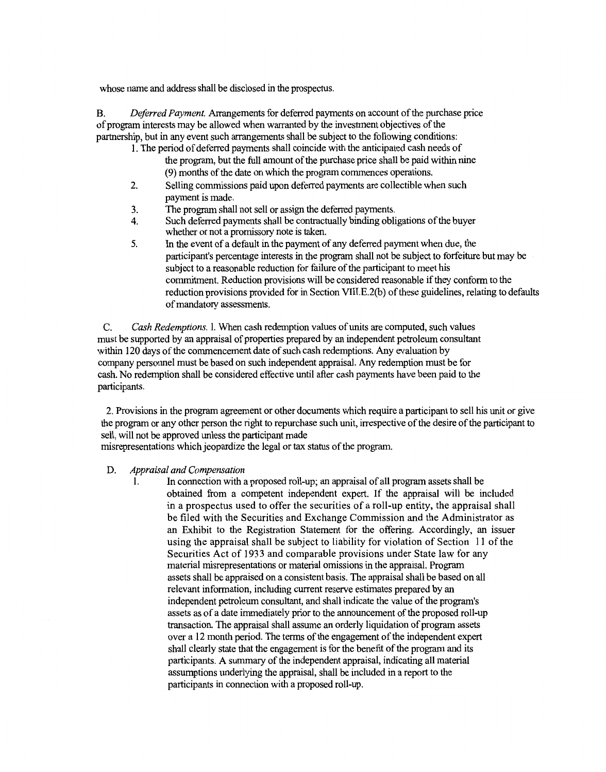whose name and address shall be disclosed in the prospectus.

B. *Deferred Payment.* Arrangements for deferred payments on account of the purchase price of program interests may be allowed when warranted by the investment objectives of the partnership, but in any event such arrangements shall be subject to the following conditions:

- 1. The period of deferred payments shall coincide with the anticipated cash needs of the program, but the full amount of the purchase price shall be paid within nine (9) months of the date on which the program commences operations.
- 2. Selling commissions paid upon deferred payments are collectible when such payment is made.
- 3. The program shall not sell or assign the deferred payments.
- 4. Such deferred payments shall be contractually binding obligations of the buyer whether or not a promissory note is taken.
- 5. In the event of a default in the payment of any deferred payment when due, the participant's percentage interests in the program shall not be subject to forfeiture but may be subject to a reasonable reduction for failure of the participant to meet his commitment. Reduction provisions will be considered reasonable if they conform to the reduction provisions provided for in Section VIII.E.2(b) of these guidelines, relating to defaults of mandatory assessments.

C. *Cash Redemptions.* I. When cash redemption values of units are computed, such values must be supported by an appraisal of properties prepared by an independent petroleum consultant within 120 days of the commencement date of such cash redemptions. Any evaluation by company personnel must be based on such independent appraisal. Any redemption must be for cash. No redemption shall be considered effective until after cash payments have been paid to the participants.

2. Provisions in the program agreement or other documents which require a participant to sell his unit or give the program or any other person the right to repurchase such unit, irrespective of the desire of the participant to sell, will not be approved unless the participant made

misrepresentations which jeopardize the legal or tax status of the program.

#### D. *Appraisal and Compensation*

1. In connection with a proposed roll-up; an appraisal of all program assets shall be obtained from a competent independent expert. If the appraisal will be included in a prospectus used to offer the securities of a roll-up entity, the appraisal shall be filed with the Securities and Exchange Commission and the Administrator as an Exhibit to the Registration Statement for the offering. Accordingly, an issuer using the appraisal shall be subject to liability for violation of Section 11 of the Securities Act of 1933 and comparable provisions under State law for any material misrepresentations or material omissions in the appraisal. Program assets shall be appraised on a consistent basis. The appraisal shall be based on all relevant information, including current reserve estimates prepared by an independent petroleum consultant, and shall indicate the value of the program's assets as of a date immediately prior to the announcement of the proposed roll-up transaction. The appraisal shall assume an orderly liquidation of program assets over a 12 month period. The terms of the engagement of the independent expert shall clearly state that the engagement is for the benefit of the program and its participants. A summary of the independent appraisal, indicating all material assumptions underlying the appraisal, shall be included in a report to the participants in connection with a proposed roll-up.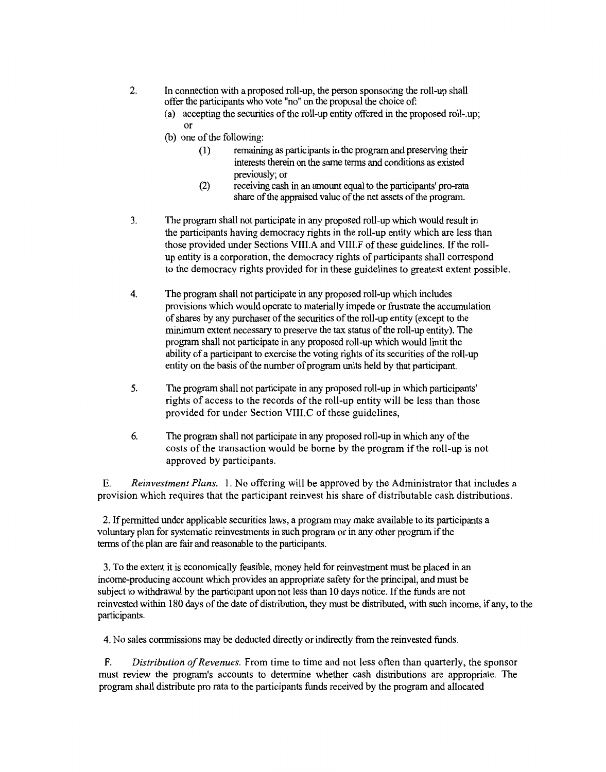- 2. In connection with a proposed roll-up, the person sponsoring the roll-up shall offer the participants who vote "no" on the proposal the choice of
	- (a) accepting the securities of the roll-up entity offered in the proposed roll-.up; or
	- (b) one of the following:
		- (1) remaining as participants in the program and preserving their interests therein on the same terms and conditions as existed previously; or
		- (2) receiving cash in an amount equal to the participants' pro-rata share of the appraised value of the net assets of the program.
- 3. The program shall not participate in any proposed roll-up which would result in the participants having democracy rights in the roll-up entity which are less than those provided under Sections VIII.A and VIII.F of these guidelines. If the rollup entity is a corporation, the democracy rights of participants shall correspond to the democracy rights provided for in these guidelines to greatest extent possible.
- 4. The program shall not participate in any proposed roll-up which includes provisions which would operate to materially impede or frustrate the accumulation of shares by any purchaser of the securities of the roll-up entity (except to the minimum extent necessary to preserve the tax status of the roll-up entity). The program shall not participate in any proposed roll-up which would limit the ability of a participant to exercise the voting rights of its securities of the roll-up entity on the basis of the number of program units held by that participant.
- 5. The program shall not participate in any proposed roll-up in which participants' rights of access to the records of the roll-up entity will be less than those provided for under Section VIII.C of these guidelines,
- 6. The program shall not participate in any proposed roll-up in which any of the costs of the transaction would be borne by the program if the roll-up is not approved by participants.

E. *Reinvestment Plans.* l. No offering will be approved by the Administrator that includes a provision which requires that the participant reinvest his share of distributable cash distributions.

2. If permitted under applicable securities laws, a program may make available to its participants a voluntary plan for systematic reinvestments in such program or in any other program ifthe terms of the plan are fair and reasonable to the participants.

3. To the extent it is economically feasible, money held for reinvestment must be placed in an income-producing account which provides an appropriate safety for the principal, and must be subject to withdrawal by the participant upon not less than 10 days notice. If the funds are not reinvested within 180 days of the date of distribution, they must be distributed, with such income, if any, to the participants.

4. No sales commissions may be deducted directly or indirectly from the reinvested funds.

F. *Distribution of Revenues.* From time to time and not less often than quarterly, the sponsor must review the program's accounts to determine whether cash distributions are appropriate. The program shall distribute pro rata to the participants funds received by the program and allocated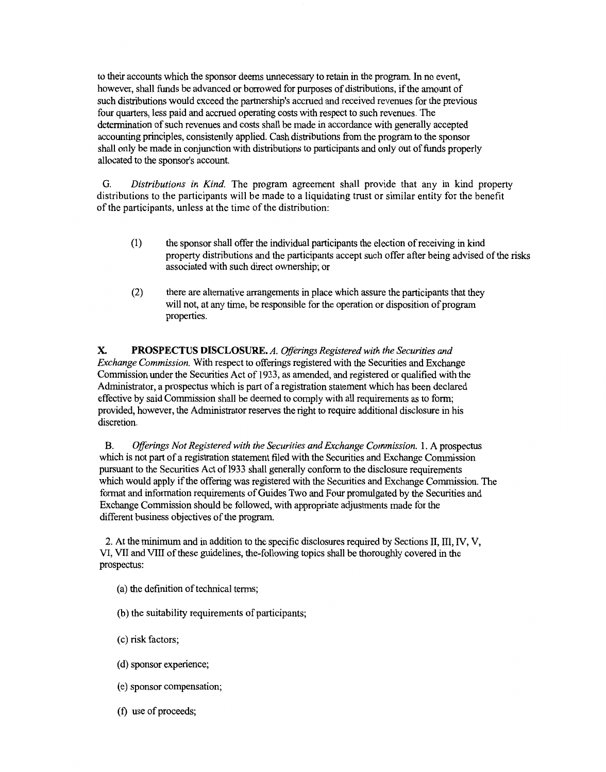to their accounts which the sponsor deems unnecessary to retain in the program. In no event, however, shall funds be advanced or borrowed for purposes of distributions, if the amount of such distributions would exceed the partnership's accrued and received revenues for the previous four quarters, less paid and accrued operating costs with respect to such revenues. The determination of such revenues and costs shall be made in accordance with generally accepted accounting principles, consistently applied. Cash distributions from the program to the sponsor shall only be made in conjunction with distributions to participants and only out of funds properly allocated to the sponsor's account.

G. *Distributions in Kind.* The program agreement shall provide that any in kind property distributions to the participants will be made to a liquidating trust or similar entity for the benefit of the participants, unless at the time of the distribution:

- (1) the sponsor shall offer the individual participants the election of receiving in kind property distributions and the participants accept such offer after being advised of the risks associated with such direct ownership; or
- (2) there are alternative arrangements in place which assure the participants that they will not, at any time, be responsible for the operation or disposition of program properties.

X. **PROSPECTUS DISCLOSURE.** *A. Offerings Registered with the Securities and Exchange Commission.* With respect to offerings registered with the Securities and Exchange Commission under the Securities Act of 1933, as amended, and registered or qualified with the Administrator, a prospectus which is part of a registration statement which has been declared effective by said Commission shall be deemed to comply with all requirements as to form; provided, however, the Administrator reserves the right to require additional disclosure in his discretion.

B. *Offerings Not Registered with the Securities and Exchange Commission.* 1. A prospectus which is not part of a registration statement filed with the Securities and Exchange Commission pursuant to the Securities Act of 1933 shall generally conform to the disclosure requirements which would apply if the offering was registered with the Securities and Exchange Commission. The format and information requirements of Guides Two and Four promulgated by the Securities and Exchange Commission should be followed, with appropriate adjustments made for the different business objectives of the program.

2. At the minimum and in addition to the specific disclosures required by Sections II, III, IV, V, VI, VII and VIII of these guidelines, the-following topics shall be thoroughly covered in the prospectus:

- (a) the definition of technical terms;
- (b) the suitability requirements of participants;
- ( c) risk factors;
- (d) sponsor experience;
- ( e) sponsor compensation;
- (f) use of proceeds;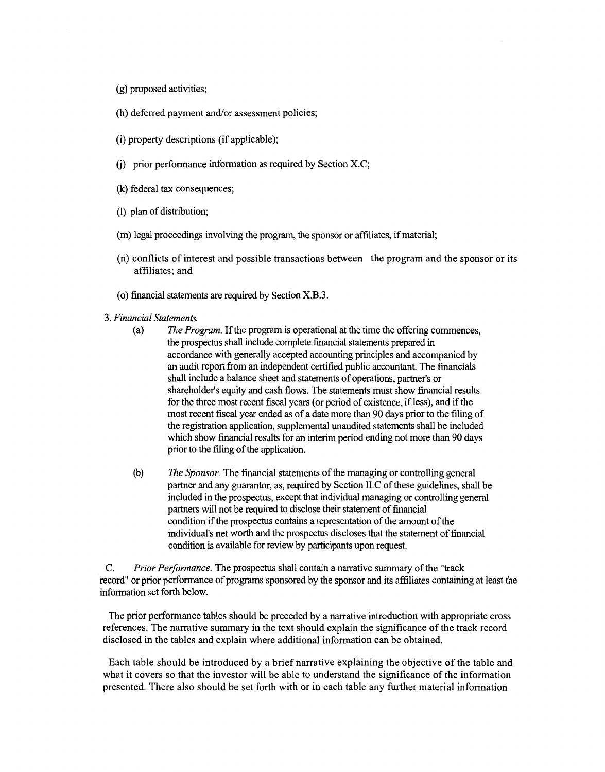- (g) proposed activities;
- (h) deferred payment and/or assessment policies;
- (i) property descriptions (if applicable);
- (j) prior performance information as required by Section X.C;
- (k) federal tax consequences;
- (1) plan of distribution;
- (m) legal proceedings involving the program, the sponsor or affiliates, if material;
- (n) conflicts of interest and possible transactions between the program and the sponsor or its affiliates; and
- (o) financial statements are required by Section X.B.3.
- 3. *Financial Statements.* 
	- (a) *The Program.* If the program is operational at the time the offering commences, the prospectus shall include complete financial statements prepared in accordance with generally accepted accounting principles and accompanied by an audit report from an independent certified public accountant. The financials shall include a balance sheet and statements of operations, partner's or shareholder's equity and cash flows. The statements must show financial results for the three most recent fiscal years (or period of existence, if less), and if the most recent fiscal year ended as of a date more than 90 days prior to the filing of the registration application, supplemental unaudited statements shall be included which show financial results for an interim period ending not more than 90 days prior to the filing of the application.
	- (b) *The Sponsor.* The financial statements of the managing or controlling general partner and any guarantor, as, required by Section 11.C of these guidelines, shall be included in the prospectus, except that individual managing or controlling general partners will not be required to disclose their statement of financial condition if the prospectus contains a representation of the amount of the individual's net worth and the prospectus discloses that the statement of financial condition is available for review by participants upon request.

C. *Prior Peiformance.* The prospectus shall contain a narrative summary of the "track record" or prior performance of programs sponsored by the sponsor and its affiliates containing at least the information set forth below.

The prior performance tables should be preceded by a narrative introduction with appropriate cross references. The narrative summary in the text should explain the significance of the track record disclosed in the tables and explain where additional information can be obtained.

Each table should be introduced by a brief narrative explaining the objective of the table and what it covers so that the investor will be able to understand the significance of the information presented. There also should be set forth with or in each table any further material information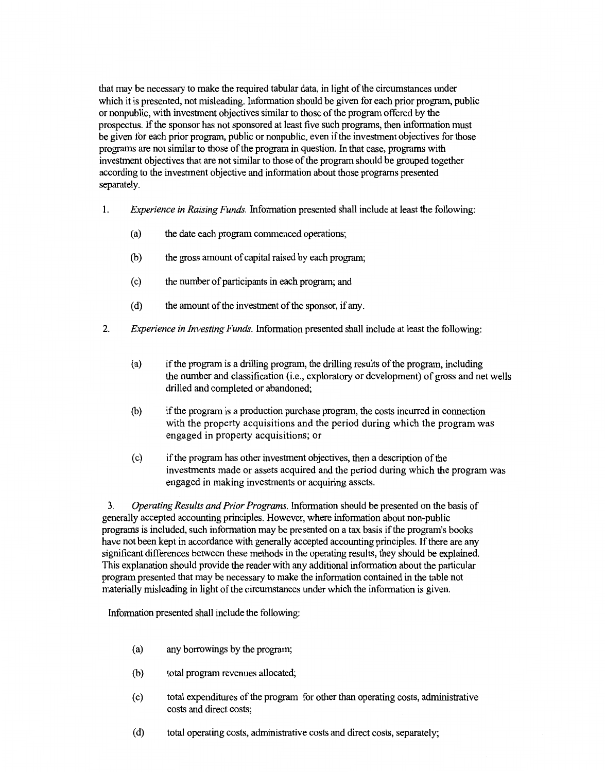that may be necessary to make the required tabular data, in light of the circumstances under which it is presented, not misleading. Information should be given for each prior program, public or nonpublic, with investment objectives similar to those of the program offered by the prospectus. If the sponsor has not sponsored at least five such programs, then information must be given for each prior program, public or nonpublic, even if the investment objectives for those programs are not similar to those of the program in question. In that case, programs with investment objectives that are not similar to those of the program should be grouped together according to the investment objective and information about those programs presented separately.

- I. *Experience in Raising Funds.* Information presented shall include at least the following:
	- (a) the date each program commenced operations;
	- (b) the gross amount of capital raised by each program;
	- ( c) the number of participants in each program; and
	- (d) the amount of the investment of the sponsor, if any.
- 2. *Experience in Investing Funds.* Information presented shall include at least the following:
	- (a) ifthe program is a drilling program, the drilling results of the program, including the number and classification (i.e., exploratory or development) of gross and net wells drilled and completed or abandoned;
	- (b) if the program is a production purchase program, the costs incurred in connection with the property acquisitions and the period during which the program was engaged in property acquisitions; or
	- (c) ifthe program has other investment objectives, then a description of the investments made or assets acquired and the period during which the program was engaged in making investments or acquiring assets.

3. *Operating Results and Prior Programs.* Information should be presented on the basis of generally accepted accounting principles. However, where information about non-public programs is included, such information may be presented on a tax basis ifthe program's books have not been kept in accordance with generally accepted accounting principles. If there are any significant differences between these methods in the operating results, they should be explained. This explanation should provide the reader with any additional information about the particular program presented that may be necessary to make the information contained in the table not materially misleading in light of the circumstances under which the information is given.

Information presented shall include the following:

- (a) any borrowings by the program;
- (b) total program revenues allocated;
- ( c) total expenditures of the program for other than operating costs, administrative costs and direct costs;
- ( d) total operating costs, administrative costs and direct costs, separately;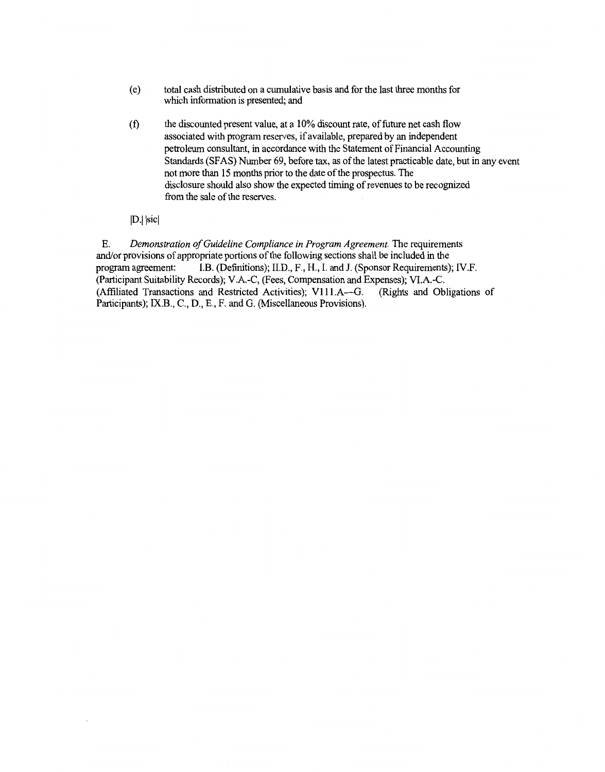- ( e) total cash distributed on a cumulative basis and for the last three months for which information is presented; and
- (f) the discounted present value, at a 10% discount rate, of future net cash flow associated with program reserves, if available, prepared by an independent petroleum consultant, in accordance with the Statement of Financial Accounting Standards (SFAS) Number 69, before tax, as of the latest practicable date, but in any event not more than 15 months prior to the date of the prospectus. The disclosure should also show the expected timing of revenues to be recognized from the sale of the reserves.
- D. sic

E. *Demonstration of Guideline Compliance in Program Agreement*. The requirements and/or provisions of appropriate portions of the following sections shall be included in the program agreement: LB. (Definitions); II.D., F., H., I. and J. (Sponsor Requirements); IV.F. (Participant Suitability Records); V.A.-C, (Fees, Compensation and Expenses); Vl.A.-C. (Affiliated Transactions and Restricted Activities); V111.A-G. (Rights and Obligations of Participants); IX.B., C., D., E., F. and G. (Miscellaneous Provisions).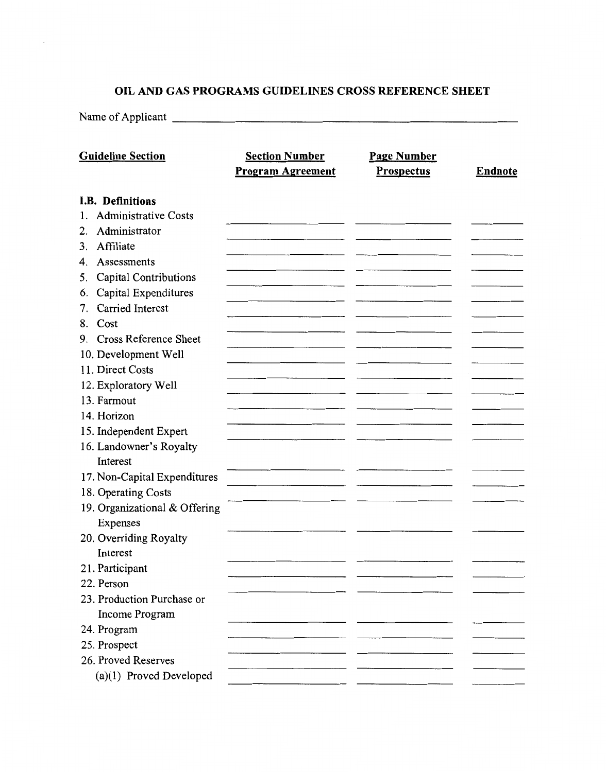## **OIL AND GAS PROGRAMS GUIDELINES CROSS REFERENCE SHEET**

Name of Applicant ---------------------------

| <b>Guideline Section</b>          | <b>Section Number</b><br><b>Program Agreement</b> | <b>Page Number</b><br><b>Prospectus</b> | <b>Endnote</b> |
|-----------------------------------|---------------------------------------------------|-----------------------------------------|----------------|
| <b>I.B. Definitions</b>           |                                                   |                                         |                |
| <b>Administrative Costs</b><br>1. |                                                   |                                         |                |
| Administrator<br>2.               |                                                   |                                         |                |
| Affiliate<br>3.                   |                                                   |                                         |                |
| Assessments<br>4.                 |                                                   |                                         |                |
| Capital Contributions<br>5.       |                                                   |                                         |                |
| Capital Expenditures<br>6.        |                                                   |                                         |                |
| Carried Interest<br>7.            |                                                   |                                         |                |
| Cost<br>8.                        |                                                   |                                         |                |
| 9. Cross Reference Sheet          |                                                   |                                         |                |
| 10. Development Well              |                                                   |                                         |                |
| 11. Direct Costs                  |                                                   |                                         |                |
| 12. Exploratory Well              |                                                   |                                         |                |
| 13. Farmout                       |                                                   |                                         |                |
| 14. Horizon                       |                                                   |                                         |                |
| 15. Independent Expert            |                                                   |                                         |                |
| 16. Landowner's Royalty           |                                                   |                                         |                |
| Interest                          |                                                   |                                         |                |
| 17. Non-Capital Expenditures      |                                                   |                                         |                |
| 18. Operating Costs               |                                                   |                                         |                |
| 19. Organizational & Offering     |                                                   |                                         |                |
| Expenses                          |                                                   |                                         |                |
| 20. Overriding Royalty            |                                                   |                                         |                |
| Interest                          |                                                   |                                         |                |
| 21. Participant                   |                                                   |                                         |                |
| 22. Person                        |                                                   |                                         |                |
| 23. Production Purchase or        |                                                   |                                         |                |
| Income Program                    |                                                   |                                         |                |
| 24. Program                       |                                                   |                                         |                |
| 25. Prospect                      |                                                   |                                         |                |
| 26. Proved Reserves               |                                                   |                                         |                |
| (a)(1) Proved Developed           |                                                   |                                         |                |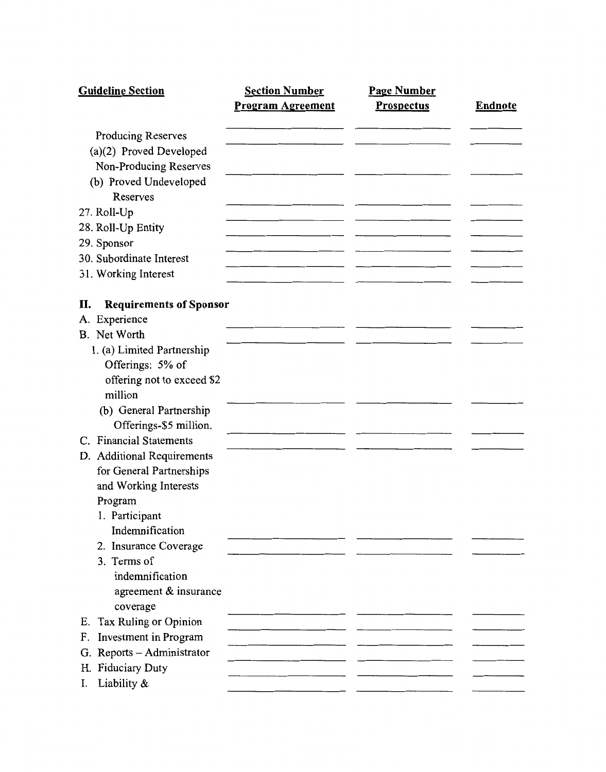| <b>Guideline Section</b>              | <b>Section Number</b>    | <b>Page Number</b> |                |
|---------------------------------------|--------------------------|--------------------|----------------|
|                                       | <b>Program Agreement</b> | <b>Prospectus</b>  | <b>Endnote</b> |
| <b>Producing Reserves</b>             |                          |                    |                |
| (a)(2) Proved Developed               |                          |                    |                |
| Non-Producing Reserves                |                          |                    |                |
| (b) Proved Undeveloped                |                          |                    |                |
| Reserves                              |                          |                    |                |
| 27. Roll-Up                           |                          |                    |                |
| 28. Roll-Up Entity                    |                          |                    |                |
| 29. Sponsor                           |                          |                    |                |
| 30. Subordinate Interest              |                          |                    |                |
| 31. Working Interest                  |                          |                    |                |
|                                       |                          |                    |                |
| <b>Requirements of Sponsor</b><br>П.  |                          |                    |                |
| Experience<br>A.<br>B. Net Worth      |                          |                    |                |
|                                       |                          |                    |                |
| 1. (a) Limited Partnership            |                          |                    |                |
| Offerings: 5% of                      |                          |                    |                |
| offering not to exceed \$2<br>million |                          |                    |                |
| (b) General Partnership               |                          |                    |                |
| Offerings-\$5 million.                |                          |                    |                |
| C. Financial Statements               |                          |                    |                |
| D. Additional Requirements            |                          |                    |                |
| for General Partnerships              |                          |                    |                |
| and Working Interests                 |                          |                    |                |
| Program                               |                          |                    |                |
| 1. Participant                        |                          |                    |                |
| Indemnification                       |                          |                    |                |
| 2. Insurance Coverage                 |                          |                    |                |
| 3. Terms of                           |                          |                    |                |
| indemnification                       |                          |                    |                |
| agreement & insurance                 |                          |                    |                |
| coverage                              |                          |                    |                |
| Tax Ruling or Opinion<br>Ε.           |                          |                    |                |
| Investment in Program<br>F.           |                          |                    |                |
| G. Reports - Administrator            |                          |                    |                |
| H. Fiduciary Duty                     |                          |                    |                |
| Liability &<br>I.                     |                          |                    |                |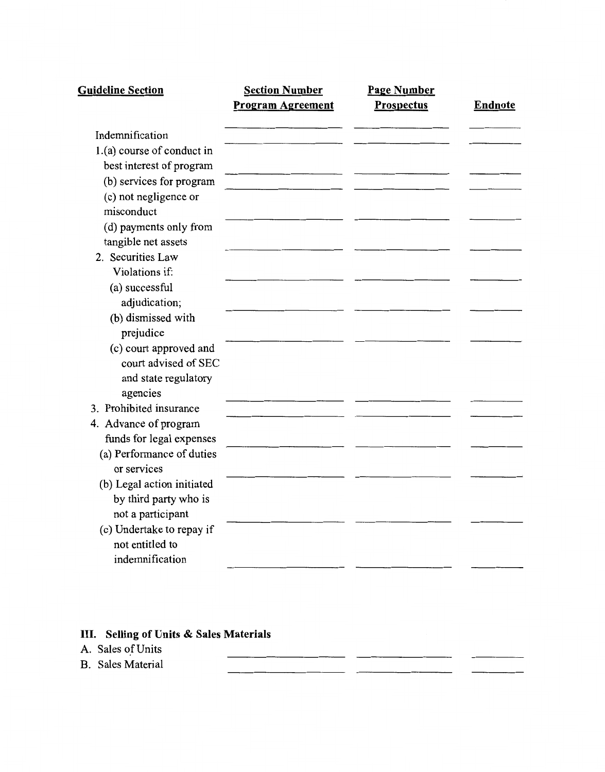| <b>Guideline Section</b>                      | <b>Section Number</b><br><b>Program Agreement</b> | <b>Page Number</b><br><b>Prospectus</b> | <b>Endnote</b> |
|-----------------------------------------------|---------------------------------------------------|-----------------------------------------|----------------|
| Indemnification                               |                                                   |                                         |                |
| 1.(a) course of conduct in                    |                                                   |                                         |                |
| best interest of program                      |                                                   |                                         |                |
| (b) services for program                      |                                                   |                                         |                |
| (c) not negligence or<br>misconduct           |                                                   |                                         |                |
| (d) payments only from<br>tangible net assets |                                                   |                                         |                |
| 2. Securities Law                             |                                                   |                                         |                |
| Violations if:                                |                                                   |                                         |                |
| (a) successful<br>adjudication;               |                                                   |                                         |                |
| (b) dismissed with                            |                                                   |                                         |                |
| prejudice                                     |                                                   |                                         |                |
| (c) court approved and                        |                                                   |                                         |                |
| court advised of SEC                          |                                                   |                                         |                |
| and state regulatory                          |                                                   |                                         |                |
| agencies                                      |                                                   |                                         |                |
| 3. Prohibited insurance                       |                                                   |                                         |                |
| 4. Advance of program                         |                                                   |                                         |                |
| funds for legal expenses                      |                                                   |                                         |                |
| (a) Performance of duties<br>or services      |                                                   |                                         |                |
| (b) Legal action initiated                    |                                                   |                                         |                |
| by third party who is                         |                                                   |                                         |                |
| not a participant                             |                                                   |                                         |                |
| (c) Undertake to repay if                     |                                                   |                                         |                |
| not entitled to                               |                                                   |                                         |                |
| indemnification                               |                                                   |                                         |                |

 $\sim$  $\sim$   $-$ 

# **III. Selling of Units & Sales Materials**

A. Sales of Units

B. Sales Material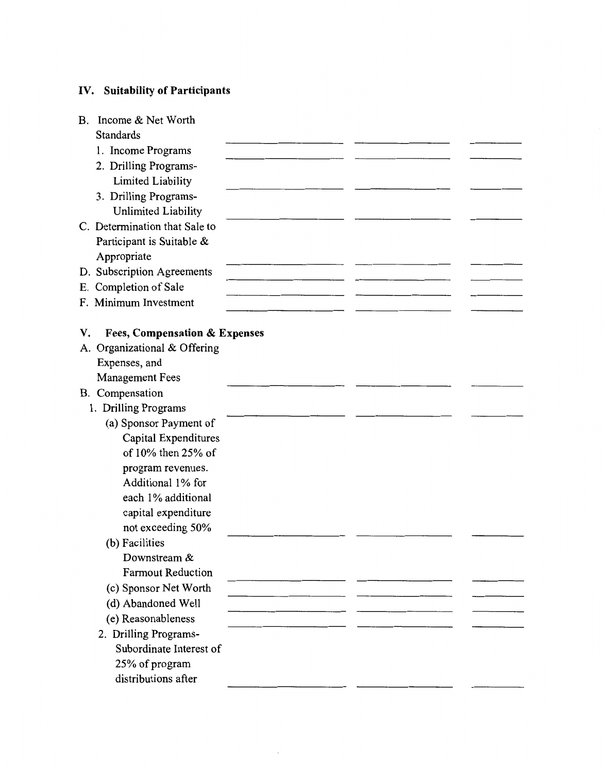## **IV. Suitability of Participants**

| Income & Net Worth<br>В.                       |  |  |
|------------------------------------------------|--|--|
| <b>Standards</b>                               |  |  |
| 1. Income Programs                             |  |  |
| 2. Drilling Programs-                          |  |  |
| <b>Limited Liability</b>                       |  |  |
| 3. Drilling Programs-                          |  |  |
| Unlimited Liability                            |  |  |
| C. Determination that Sale to                  |  |  |
| Participant is Suitable &                      |  |  |
| Appropriate                                    |  |  |
| D. Subscription Agreements                     |  |  |
| E. Completion of Sale                          |  |  |
| F. Minimum Investment                          |  |  |
|                                                |  |  |
| <b>Fees, Compensation &amp; Expenses</b><br>V. |  |  |
| A. Organizational & Offering                   |  |  |
| Expenses, and                                  |  |  |
| <b>Management Fees</b>                         |  |  |
| B. Compensation                                |  |  |
| 1. Drilling Programs                           |  |  |
| (a) Sponsor Payment of                         |  |  |
| Capital Expenditures                           |  |  |
| of 10% then 25% of                             |  |  |
| program revenues.                              |  |  |
| Additional 1% for                              |  |  |
| each 1% additional                             |  |  |
| capital expenditure                            |  |  |
| not exceeding 50%                              |  |  |
| (b) Facilities                                 |  |  |
| Downstream &                                   |  |  |
| <b>Farmout Reduction</b>                       |  |  |
| (c) Sponsor Net Worth                          |  |  |
| (d) Abandoned Well                             |  |  |
| (e) Reasonableness                             |  |  |
| 2. Drilling Programs-                          |  |  |
| Subordinate Interest of                        |  |  |
| 25% of program                                 |  |  |
| distributions after                            |  |  |
|                                                |  |  |

 $\sim$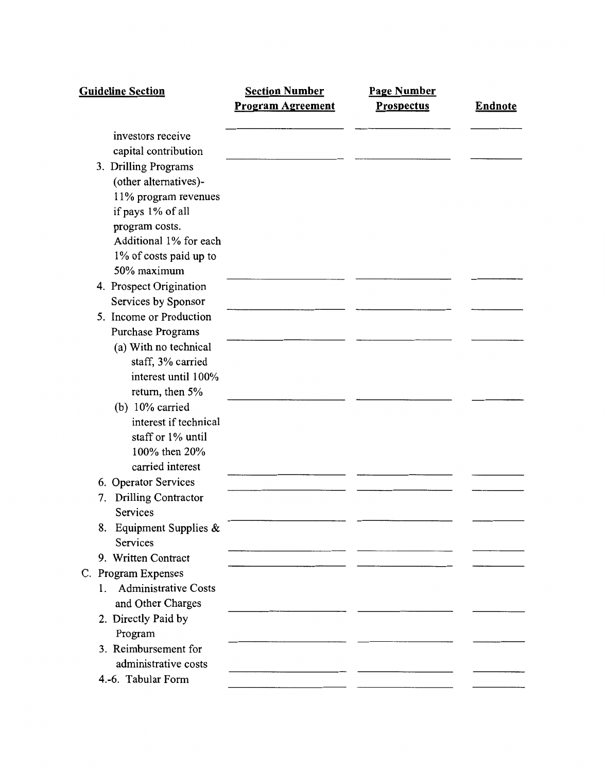| <b>Guideline Section</b>             | <b>Section Number</b><br><b>Program Agreement</b> | <b>Page Number</b><br><b>Prospectus</b> | <b>Endnote</b> |
|--------------------------------------|---------------------------------------------------|-----------------------------------------|----------------|
|                                      |                                                   |                                         |                |
| investors receive                    |                                                   |                                         |                |
| capital contribution                 |                                                   |                                         |                |
| 3. Drilling Programs                 |                                                   |                                         |                |
| (other alternatives)-                |                                                   |                                         |                |
| 11% program revenues                 |                                                   |                                         |                |
| if pays 1% of all                    |                                                   |                                         |                |
| program costs.                       |                                                   |                                         |                |
| Additional 1% for each               |                                                   |                                         |                |
| 1% of costs paid up to               |                                                   |                                         |                |
| 50% maximum                          |                                                   |                                         |                |
| 4. Prospect Origination              |                                                   |                                         |                |
| Services by Sponsor                  |                                                   |                                         |                |
| 5. Income or Production              |                                                   |                                         |                |
| <b>Purchase Programs</b>             |                                                   |                                         |                |
| (a) With no technical                |                                                   |                                         |                |
| staff, 3% carried                    |                                                   |                                         |                |
| interest until 100%                  |                                                   |                                         |                |
| return, then 5%                      |                                                   |                                         |                |
| (b) $10\%$ carried                   |                                                   |                                         |                |
| interest if technical                |                                                   |                                         |                |
| staff or 1% until                    |                                                   |                                         |                |
| 100% then 20%                        |                                                   |                                         |                |
| carried interest                     |                                                   |                                         |                |
| 6. Operator Services                 |                                                   |                                         |                |
| <b>Drilling Contractor</b><br>7.     |                                                   |                                         |                |
| Services                             |                                                   |                                         |                |
| Equipment Supplies &<br>8.           |                                                   |                                         |                |
| Services                             |                                                   |                                         |                |
| 9. Written Contract                  |                                                   |                                         |                |
| C. Program Expenses                  |                                                   |                                         |                |
| <b>Administrative Costs</b><br>$1 -$ |                                                   |                                         |                |
| and Other Charges                    |                                                   |                                         |                |
| 2. Directly Paid by                  |                                                   |                                         |                |
| Program                              |                                                   |                                         |                |
| 3. Reimbursement for                 |                                                   |                                         |                |
| administrative costs                 |                                                   |                                         |                |
| 4.-6. Tabular Form                   |                                                   |                                         |                |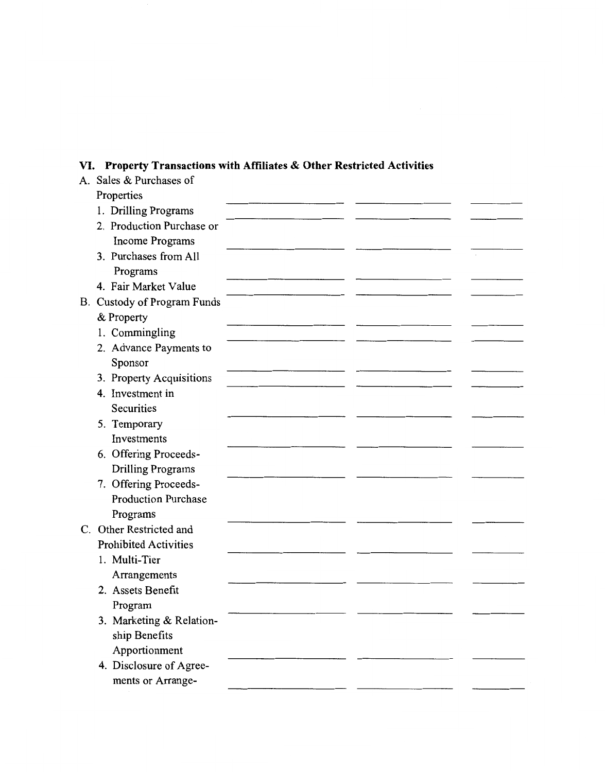# VI. **Property Transactions with Affiliates & Other Restricted Activities**

| A. Sales & Purchases of      |  |  |
|------------------------------|--|--|
| Properties                   |  |  |
| 1. Drilling Programs         |  |  |
| 2. Production Purchase or    |  |  |
| <b>Income Programs</b>       |  |  |
| 3. Purchases from All        |  |  |
| Programs                     |  |  |
| 4. Fair Market Value         |  |  |
| B. Custody of Program Funds  |  |  |
| & Property                   |  |  |
| 1. Commingling               |  |  |
| 2. Advance Payments to       |  |  |
| Sponsor                      |  |  |
| 3. Property Acquisitions     |  |  |
| 4. Investment in             |  |  |
| <b>Securities</b>            |  |  |
| 5. Temporary                 |  |  |
| Investments                  |  |  |
| 6. Offering Proceeds-        |  |  |
| <b>Drilling Programs</b>     |  |  |
| 7. Offering Proceeds-        |  |  |
| <b>Production Purchase</b>   |  |  |
| Programs                     |  |  |
| C. Other Restricted and      |  |  |
| <b>Prohibited Activities</b> |  |  |
| 1. Multi-Tier                |  |  |
| Arrangements                 |  |  |
| 2. Assets Benefit            |  |  |
| Program                      |  |  |
| 3. Marketing & Relation-     |  |  |
| ship Benefits                |  |  |
| Apportionment                |  |  |
| 4. Disclosure of Agree-      |  |  |
| ments or Arrange-            |  |  |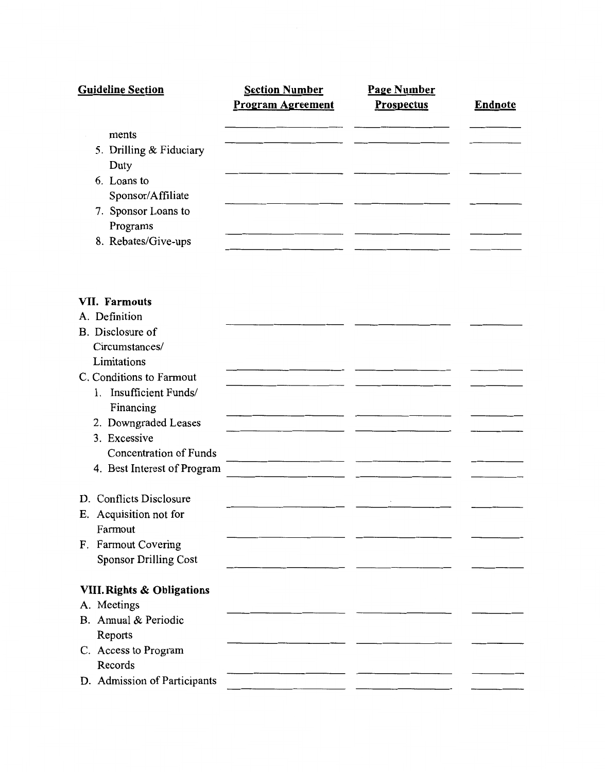| <b>Guideline Section</b> | <b>Section Number</b>    | <b>Page Number</b> |         |
|--------------------------|--------------------------|--------------------|---------|
|                          | <b>Program Agreement</b> | <b>Prospectus</b>  | Endnote |
| ments                    |                          |                    |         |
| 5. Drilling & Fiduciary  |                          |                    |         |
| Duty                     |                          |                    |         |
| 6. Loans to              |                          |                    |         |
| Sponsor/Affiliate        |                          |                    |         |
| 7. Sponsor Loans to      |                          |                    |         |
| Programs                 |                          |                    |         |
| 8. Rebates/Give-ups      |                          |                    |         |
|                          |                          |                    |         |

## VII. **Farmouts**

| A. Definition                         |                                                  |  |
|---------------------------------------|--------------------------------------------------|--|
| B. Disclosure of                      |                                                  |  |
| Circumstances/                        |                                                  |  |
| Limitations                           |                                                  |  |
| C. Conditions to Farmout              |                                                  |  |
| 1. Insufficient Funds/                |                                                  |  |
| Financing                             |                                                  |  |
| 2. Downgraded Leases                  |                                                  |  |
| 3. Excessive                          |                                                  |  |
| <b>Concentration of Funds</b>         | the contract of the contract of the contract of  |  |
| 4. Best Interest of Program           | the control of the control of the control of the |  |
|                                       |                                                  |  |
| D. Conflicts Disclosure               |                                                  |  |
| E. Acquisition not for                |                                                  |  |
| Farmout                               |                                                  |  |
| F. Farmout Covering                   |                                                  |  |
| <b>Sponsor Drilling Cost</b>          |                                                  |  |
|                                       |                                                  |  |
| <b>VIII. Rights &amp; Obligations</b> |                                                  |  |
| A. Meetings                           |                                                  |  |
| B. Annual & Periodic                  |                                                  |  |
| Reports                               |                                                  |  |
| C. Access to Program                  |                                                  |  |
| Records                               |                                                  |  |
| D. Admission of Participants          |                                                  |  |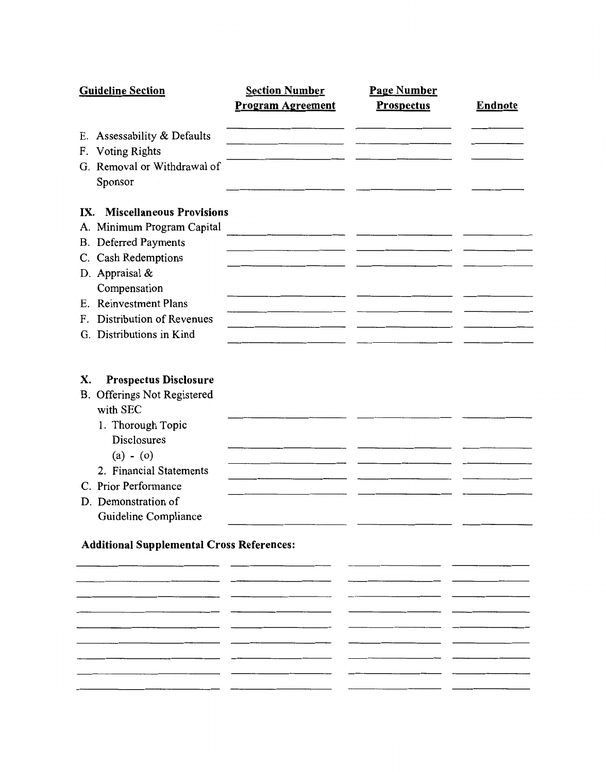| <b>Guideline Section</b>                                                                                                                                                                                                                                                                      | <b>Section Number</b>                                                                                                 | <b>Page Number</b> |                |
|-----------------------------------------------------------------------------------------------------------------------------------------------------------------------------------------------------------------------------------------------------------------------------------------------|-----------------------------------------------------------------------------------------------------------------------|--------------------|----------------|
|                                                                                                                                                                                                                                                                                               | <b>Program Agreement</b>                                                                                              | <b>Prospectus</b>  | <b>Endnote</b> |
| E. Assessability & Defaults                                                                                                                                                                                                                                                                   |                                                                                                                       |                    |                |
| <b>Voting Rights</b><br>F.                                                                                                                                                                                                                                                                    |                                                                                                                       |                    |                |
| G. Removal or Withdrawal of                                                                                                                                                                                                                                                                   |                                                                                                                       |                    |                |
| Sponsor                                                                                                                                                                                                                                                                                       |                                                                                                                       |                    |                |
| <b>Miscellaneous Provisions</b><br>IX.                                                                                                                                                                                                                                                        |                                                                                                                       |                    |                |
| A. Minimum Program Capital                                                                                                                                                                                                                                                                    | <u> 1989 - John Harry Harry Harry Harry Harry Harry Harry Harry Harry Harry Harry Harry Harry Harry Harry Harry H</u> |                    |                |
| <b>B.</b> Deferred Payments                                                                                                                                                                                                                                                                   |                                                                                                                       |                    |                |
| C. Cash Redemptions                                                                                                                                                                                                                                                                           |                                                                                                                       |                    |                |
| D. Appraisal &                                                                                                                                                                                                                                                                                |                                                                                                                       |                    |                |
| Compensation                                                                                                                                                                                                                                                                                  |                                                                                                                       |                    |                |
| E. Reinvestment Plans                                                                                                                                                                                                                                                                         |                                                                                                                       |                    |                |
| <b>Distribution of Revenues</b><br>F.                                                                                                                                                                                                                                                         |                                                                                                                       |                    |                |
| G. Distributions in Kind                                                                                                                                                                                                                                                                      |                                                                                                                       |                    |                |
| <b>Prospectus Disclosure</b><br>X.<br>B. Offerings Not Registered<br>with SEC<br>1. Thorough Topic<br><b>Disclosures</b><br>$(a) - (o)$<br>2. Financial Statements<br>C. Prior Performance<br>D. Demonstration of<br>Guideline Compliance<br><b>Additional Supplemental Cross References:</b> |                                                                                                                       |                    |                |
|                                                                                                                                                                                                                                                                                               |                                                                                                                       |                    |                |
|                                                                                                                                                                                                                                                                                               |                                                                                                                       |                    |                |

 $\overline{\phantom{0}}$ 

 $\overline{\phantom{a}}$ 

 $\sim$ 

 $\overline{\phantom{a}}$ 

 $\overline{a}$ 

 $\overbrace{\hspace{25mm}}^{n}$ 

-

 $\overline{\phantom{0}}$ 

 $\overline{\phantom{a}}$ 

 $\overline{\phantom{a}}$